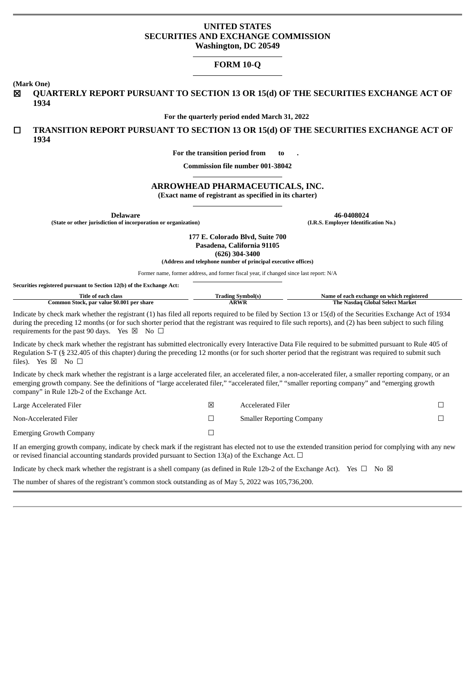# **UNITED STATES SECURITIES AND EXCHANGE COMMISSION Washington, DC 20549**

# **FORM 10-Q**

**(Mark One)**

☒ **QUARTERLY REPORT PURSUANT TO SECTION 13 OR 15(d) OF THE SECURITIES EXCHANGE ACT OF 1934**

**For the quarterly period ended March 31, 2022**

# ☐ **TRANSITION REPORT PURSUANT TO SECTION 13 OR 15(d) OF THE SECURITIES EXCHANGE ACT OF 1934**

**For the transition period from to .**

**Commission file number 001-38042**

#### **ARROWHEAD PHARMACEUTICALS, INC.**

**(Exact name of registrant as specified in its charter)**

**(State or other jurisdiction of incorporation or organization) (I.R.S. Employer Identification No.)**

**Delaware 46-0408024**

**Pasadena, California 91105 (626) 304-3400 (Address and telephone number of principal executive offices)**

**177 E. Colorado Blvd, Suite 700**

Former name, former address, and former fiscal year, if changed since last report: N/A

**Securities registered pursuant to Section 12(b) of the Exchange Act:**

| <b>Title</b><br>ot each class                  | Symbol(s.<br>.rading | Name of each exchange on which registered  |
|------------------------------------------------|----------------------|--------------------------------------------|
| Common Stock. par value \$0.001<br>1 per share | ARWF                 | l he<br>. Select Market<br>- Nasdag Global |

Indicate by check mark whether the registrant (1) has filed all reports required to be filed by Section 13 or 15(d) of the Securities Exchange Act of 1934 during the preceding 12 months (or for such shorter period that the registrant was required to file such reports), and (2) has been subject to such filing requirements for the past 90 days. Yes  $\boxtimes$  No  $\Box$ 

Indicate by check mark whether the registrant has submitted electronically every Interactive Data File required to be submitted pursuant to Rule 405 of Regulation S-T (§ 232.405 of this chapter) during the preceding 12 months (or for such shorter period that the registrant was required to submit such files). Yes  $\boxtimes$  No  $\square$ 

Indicate by check mark whether the registrant is a large accelerated filer, an accelerated filer, a non-accelerated filer, a smaller reporting company, or an emerging growth company. See the definitions of "large accelerated filer," "accelerated filer," "smaller reporting company" and "emerging growth company" in Rule 12b-2 of the Exchange Act.

Large Accelerated Filer ☒ Accelerated Filer ☐

Non-Accelerated Filer ☐ Smaller Reporting Company ☐

Emerging Growth Company **□** 

If an emerging growth company, indicate by check mark if the registrant has elected not to use the extended transition period for complying with any new or revised financial accounting standards provided pursuant to Section 13(a) of the Exchange Act.  $\Box$ 

Indicate by check mark whether the registrant is a shell company (as defined in Rule 12b-2 of the Exchange Act). Yes  $\Box$  No  $\boxtimes$ 

The number of shares of the registrant's common stock outstanding as of May 5, 2022 was 105,736,200.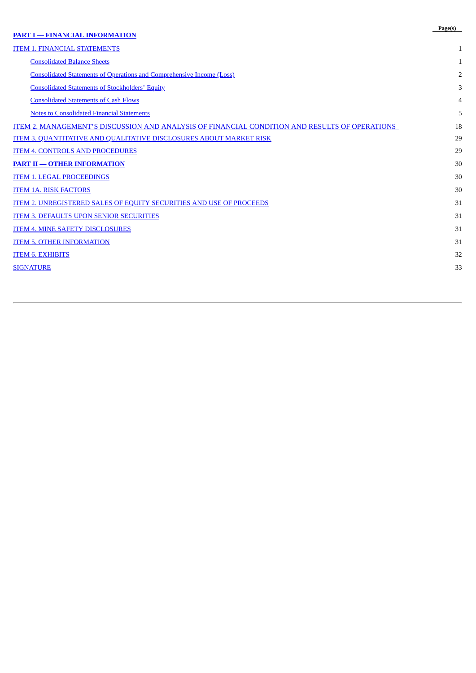| <b>PART I - FINANCIAL INFORMATION</b>                                                         | Page(s)        |
|-----------------------------------------------------------------------------------------------|----------------|
| <b>ITEM 1. FINANCIAL STATEMENTS</b>                                                           | 1              |
| <b>Consolidated Balance Sheets</b>                                                            | 1              |
| <b>Consolidated Statements of Operations and Comprehensive Income (Loss)</b>                  | $\overline{2}$ |
| <b>Consolidated Statements of Stockholders' Equity</b>                                        | 3              |
| <b>Consolidated Statements of Cash Flows</b>                                                  | $\overline{4}$ |
| <b>Notes to Consolidated Financial Statements</b>                                             | 5              |
| ITEM 2. MANAGEMENT'S DISCUSSION AND ANALYSIS OF FINANCIAL CONDITION AND RESULTS OF OPERATIONS | 18             |
| <b>ITEM 3. QUANTITATIVE AND QUALITATIVE DISCLOSURES ABOUT MARKET RISK</b>                     | 29             |
| <b>ITEM 4. CONTROLS AND PROCEDURES</b>                                                        | 29             |
| <b>PART II - OTHER INFORMATION</b>                                                            | 30             |
| <b>ITEM 1. LEGAL PROCEEDINGS</b>                                                              | 30             |
| <b>ITEM 1A. RISK FACTORS</b>                                                                  | 30             |
| ITEM 2. UNREGISTERED SALES OF EQUITY SECURITIES AND USE OF PROCEEDS                           | 31             |
| <b>ITEM 3. DEFAULTS UPON SENIOR SECURITIES</b>                                                | 31             |
| <b>ITEM 4. MINE SAFETY DISCLOSURES</b>                                                        | 31             |
| <b>ITEM 5. OTHER INFORMATION</b>                                                              | 31             |
| <b>ITEM 6. EXHIBITS</b>                                                                       | 32             |
| <b>SIGNATURE</b>                                                                              | 33             |
|                                                                                               |                |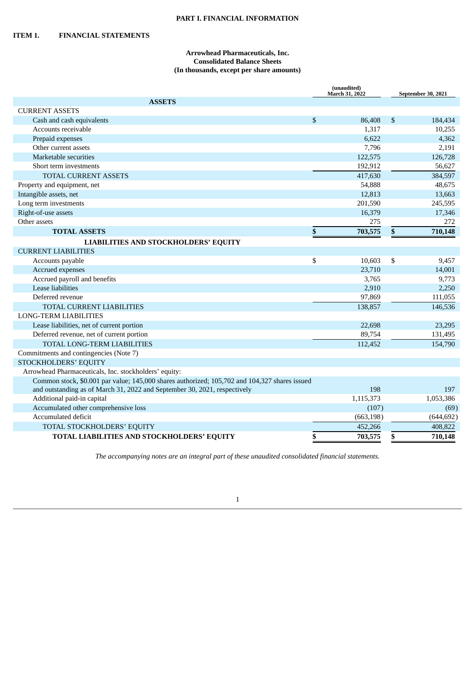### **PART I. FINANCIAL INFORMATION**

# **Arrowhead Pharmaceuticals, Inc. Consolidated Balance Sheets (In thousands, except per share amounts)**

<span id="page-2-2"></span><span id="page-2-1"></span><span id="page-2-0"></span>

|                                                                                               |              | (unaudited)<br>March 31, 2022 |                | September 30, 2021 |
|-----------------------------------------------------------------------------------------------|--------------|-------------------------------|----------------|--------------------|
| <b>ASSETS</b>                                                                                 |              |                               |                |                    |
| <b>CURRENT ASSETS</b>                                                                         |              |                               |                |                    |
| Cash and cash equivalents                                                                     | $\mathbb{S}$ | 86,408                        | $\mathfrak{S}$ | 184,434            |
| Accounts receivable                                                                           |              | 1,317                         |                | 10,255             |
| Prepaid expenses                                                                              |              | 6,622                         |                | 4,362              |
| Other current assets                                                                          |              | 7,796                         |                | 2,191              |
| Marketable securities                                                                         |              | 122,575                       |                | 126,728            |
| Short term investments                                                                        |              | 192,912                       |                | 56,627             |
| <b>TOTAL CURRENT ASSETS</b>                                                                   |              | 417,630                       |                | 384,597            |
| Property and equipment, net                                                                   |              | 54,888                        |                | 48,675             |
| Intangible assets, net                                                                        |              | 12,813                        |                | 13,663             |
| Long term investments                                                                         |              | 201,590                       |                | 245,595            |
| Right-of-use assets                                                                           |              | 16,379                        |                | 17,346             |
| Other assets                                                                                  |              | 275                           |                | 272                |
| <b>TOTAL ASSETS</b>                                                                           | \$           | 703,575                       | \$             | 710,148            |
| <b>LIABILITIES AND STOCKHOLDERS' EQUITY</b>                                                   |              |                               |                |                    |
| <b>CURRENT LIABILITIES</b>                                                                    |              |                               |                |                    |
| Accounts payable                                                                              | \$           | 10,603                        | \$             | 9,457              |
| Accrued expenses                                                                              |              | 23,710                        |                | 14,001             |
| Accrued payroll and benefits                                                                  |              | 3,765                         |                | 9,773              |
| Lease liabilities                                                                             |              | 2,910                         |                | 2,250              |
| Deferred revenue                                                                              |              | 97,869                        |                | 111,055            |
| <b>TOTAL CURRENT LIABILITIES</b>                                                              |              | 138,857                       |                | 146,536            |
| <b>LONG-TERM LIABILITIES</b>                                                                  |              |                               |                |                    |
| Lease liabilities, net of current portion                                                     |              | 22,698                        |                | 23,295             |
| Deferred revenue, net of current portion                                                      |              | 89,754                        |                | 131,495            |
| TOTAL LONG-TERM LIABILITIES                                                                   |              | 112,452                       |                | 154,790            |
| Commitments and contingencies (Note 7)                                                        |              |                               |                |                    |
| STOCKHOLDERS' EQUITY                                                                          |              |                               |                |                    |
| Arrowhead Pharmaceuticals, Inc. stockholders' equity:                                         |              |                               |                |                    |
| Common stock, \$0.001 par value; 145,000 shares authorized; 105,702 and 104,327 shares issued |              |                               |                |                    |
| and outstanding as of March 31, 2022 and September 30, 2021, respectively                     |              | 198                           |                | 197                |
| Additional paid-in capital                                                                    |              | 1,115,373                     |                | 1,053,386          |
| Accumulated other comprehensive loss                                                          |              | (107)                         |                | (69)               |
| Accumulated deficit                                                                           |              | (663, 198)                    |                | (644, 692)         |
| TOTAL STOCKHOLDERS' EQUITY                                                                    |              | 452,266                       |                | 408,822            |
| TOTAL LIABILITIES AND STOCKHOLDERS' EQUITY                                                    | \$           | 703,575                       | \$             | 710,148            |

*The accompanying notes are an integral part of these unaudited consolidated financial statements.*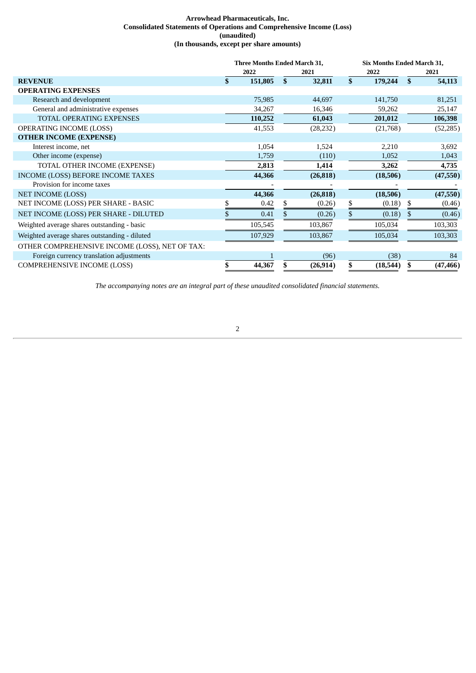# **Arrowhead Pharmaceuticals, Inc. Consolidated Statements of Operations and Comprehensive Income (Loss) (unaudited) (In thousands, except per share amounts)**

<span id="page-3-0"></span>

|                                                | Three Months Ended March 31,<br>2022<br>2021 |     |           | Six Months Ended March 31,<br>2022 |              | 2021      |
|------------------------------------------------|----------------------------------------------|-----|-----------|------------------------------------|--------------|-----------|
| <b>REVENUE</b>                                 | \$<br>151,805                                | \$. | 32,811    | \$<br>179,244                      | $\mathbf{s}$ | 54,113    |
| <b>OPERATING EXPENSES</b>                      |                                              |     |           |                                    |              |           |
| Research and development                       | 75,985                                       |     | 44,697    | 141,750                            |              | 81,251    |
| General and administrative expenses            | 34,267                                       |     | 16,346    | 59,262                             |              | 25,147    |
| <b>TOTAL OPERATING EXPENSES</b>                | 110,252                                      |     | 61,043    | 201,012                            |              | 106,398   |
| <b>OPERATING INCOME (LOSS)</b>                 | 41,553                                       |     | (28, 232) | (21,768)                           |              | (52, 285) |
| <b>OTHER INCOME (EXPENSE)</b>                  |                                              |     |           |                                    |              |           |
| Interest income, net                           | 1,054                                        |     | 1,524     | 2,210                              |              | 3,692     |
| Other income (expense)                         | 1,759                                        |     | (110)     | 1,052                              |              | 1,043     |
| TOTAL OTHER INCOME (EXPENSE)                   | 2,813                                        |     | 1,414     | 3,262                              |              | 4,735     |
| INCOME (LOSS) BEFORE INCOME TAXES              | 44,366                                       |     | (26, 818) | (18,506)                           |              | (47,550)  |
| Provision for income taxes                     |                                              |     |           |                                    |              |           |
| <b>NET INCOME (LOSS)</b>                       | 44,366                                       |     | (26, 818) | (18,506)                           |              | (47,550)  |
| NET INCOME (LOSS) PER SHARE - BASIC            | 0.42                                         | \$. | (0.26)    | \$<br>(0.18)                       | S            | (0.46)    |
| NET INCOME (LOSS) PER SHARE - DILUTED          | 0.41                                         |     | (0.26)    | \$<br>(0.18)                       | S.           | (0.46)    |
| Weighted average shares outstanding - basic    | 105,545                                      |     | 103,867   | 105,034                            |              | 103,303   |
| Weighted average shares outstanding - diluted  | 107,929                                      |     | 103,867   | 105,034                            |              | 103,303   |
| OTHER COMPREHENSIVE INCOME (LOSS), NET OF TAX: |                                              |     |           |                                    |              |           |
| Foreign currency translation adjustments       |                                              |     | (96)      | (38)                               |              | 84        |
| COMPREHENSIVE INCOME (LOSS)                    | \$<br>44,367                                 | \$  | (26, 914) | \$<br>(18, 544)                    | \$           | (47, 466) |

*The accompanying notes are an integral part of these unaudited consolidated financial statements.*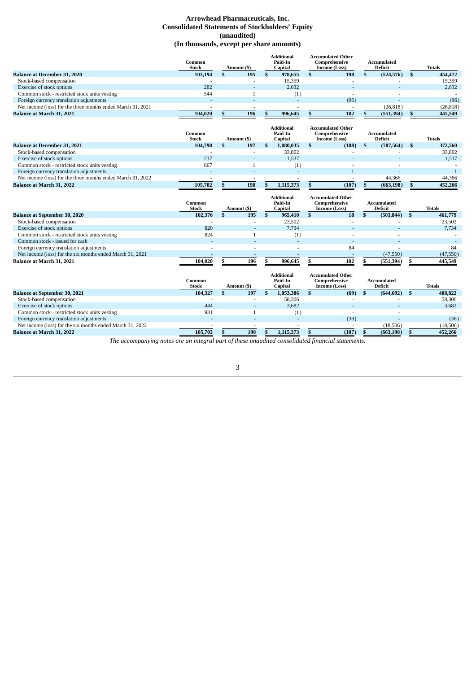## **Arrowhead Pharmaceuticals, Inc. Consolidated Statements of Stockholders' Equity (unaudited) (In thousands, except per share amounts)**

<span id="page-4-0"></span>

|                                                             |         |                | <b>Additional</b> | <b>Accumulated Other</b> |             |               |
|-------------------------------------------------------------|---------|----------------|-------------------|--------------------------|-------------|---------------|
|                                                             | Common  |                | Paid-In           | Comprehensive            | Accumulated |               |
|                                                             | Stock   | Amount (\$)    | Capital           | Income (Loss)            | Deficit     | <b>Totals</b> |
| <b>Balance at December 31, 2020</b>                         | 103.194 | 195            | 978,655           | 198                      | (524, 576)  | 454,472       |
| Stock-based compensation                                    |         |                | 15,359            |                          |             | 15,359        |
| Exercise of stock options                                   | 282     | $\overline{a}$ | 2.632             | <b>CONTENT</b>           | <b>.</b>    | 2,632         |
| Common stock - restricted stock units vesting               | 544     |                | (1)               |                          |             |               |
| Foreign currency translation adjustments                    |         |                |                   | (96)                     |             | (96)          |
| Net income (loss) for the three months ended March 31, 2021 |         |                |                   |                          | (26, 818)   | (26, 818)     |
| <b>Balance at March 31, 2021</b>                            | 104,020 | 196            | 996.645           | 102                      | (551, 394)  | 445,549       |

|                                                             | Common<br>Stock          | Amount (\$)              | <b>Additional</b><br>Paid-In<br>Capital | <b>Accumulated Other</b><br>Comprehensive<br>Income (Loss) | Accumulated<br>Deficit   | <b>Totals</b> |
|-------------------------------------------------------------|--------------------------|--------------------------|-----------------------------------------|------------------------------------------------------------|--------------------------|---------------|
| <b>Balance at December 31, 2021</b>                         | 104,798                  | 197                      | 1,080,035                               | (108)                                                      | (707, 564)               | 372,560       |
| Stock-based compensation                                    |                          | $\sim$                   | 33,802                                  |                                                            | $\overline{\phantom{a}}$ | 33,802        |
| Exercise of stock options                                   | 237                      | $\overline{\phantom{a}}$ | 1,537                                   |                                                            | --                       | 1,537         |
| Common stock - restricted stock units vesting               | 667                      |                          | (1)                                     |                                                            |                          |               |
| Foreign currency translation adjustments                    | $\overline{\phantom{a}}$ | $\sim$                   |                                         |                                                            |                          |               |
| Net income (loss) for the three months ended March 31, 2022 |                          | -                        |                                         |                                                            | 44,366                   | 44,366        |
| <b>Balance at March 31, 2022</b>                            | 105.702                  | 198                      | 1.115.373                               | (107)                                                      | (663, 198)               | 452,266       |

|                                                           | Common<br>Stock | Amount (\$) | <b>Additional</b><br>Paid-In<br>Capital | <b>Accumulated Other</b><br>Comprehensive<br>Income (Loss) |    | Accumulated<br>Deficit   | Totals    |
|-----------------------------------------------------------|-----------------|-------------|-----------------------------------------|------------------------------------------------------------|----|--------------------------|-----------|
| <b>Balance at September 30, 2020</b>                      | 102,376         | 195         | 965,410                                 | 18                                                         | л. | (503, 844)               | 461,779   |
| Stock-based compensation                                  |                 | ۰           | 23,502                                  |                                                            |    |                          | 23,502    |
| Exercise of stock options                                 | 820             | ۰           | 7.734                                   | $\sim$                                                     |    | $\overline{\phantom{a}}$ | 7.734     |
| Common stock - restricted stock units vesting             | 824             |             | (1)                                     |                                                            |    |                          |           |
| Common stock - issued for cash                            |                 | $\sim$      | $\sim$                                  |                                                            |    |                          |           |
| Foreign currency translation adjustments                  |                 |             |                                         | 84                                                         |    |                          | 84        |
| Net income (loss) for the six months ended March 31, 2021 |                 |             |                                         |                                                            |    | (47,550)                 | (47, 550) |
| Balance at March 31, 2021                                 | 104.020         | 196         | 996.645                                 | 102                                                        |    | (551, 394)               | 445,549   |

|                                                           | Common<br>Stock | Amount (\$)              | <b>Additional</b><br>Paid-In<br><b>Capital</b> | <b>Accumulated Other</b><br>Comprehensive<br>Income (Loss) | Accumulated<br>Deficit | <b>Totals</b> |
|-----------------------------------------------------------|-----------------|--------------------------|------------------------------------------------|------------------------------------------------------------|------------------------|---------------|
| <b>Balance at September 30, 2021</b>                      | 104,327         | 197                      | 1.053.386                                      | (69)                                                       | (644, 692)             | 408.822       |
| Stock-based compensation                                  |                 | $\sim$                   | 58,306                                         |                                                            |                        | 58,306        |
| Exercise of stock options                                 | 444             | $\overline{\phantom{0}}$ | 3,682                                          |                                                            | $\sim$                 | 3,682         |
| Common stock - restricted stock units vesting             | 931             |                          | (1)                                            |                                                            |                        |               |
| Foreign currency translation adjustments                  |                 | $\sim$                   | $\overline{\phantom{a}}$                       | (38)                                                       |                        | (38)          |
| Net income (loss) for the six months ended March 31, 2022 |                 |                          |                                                |                                                            | (18,506)               | (18,506)      |
| <b>Balance at March 31, 2022</b>                          | 105.702         | 198                      | 1,115,373                                      | (107)                                                      | (663, 198)             | 452,266       |

*The accompanying notes are an integral part of these unaudited consolidated financial statements.*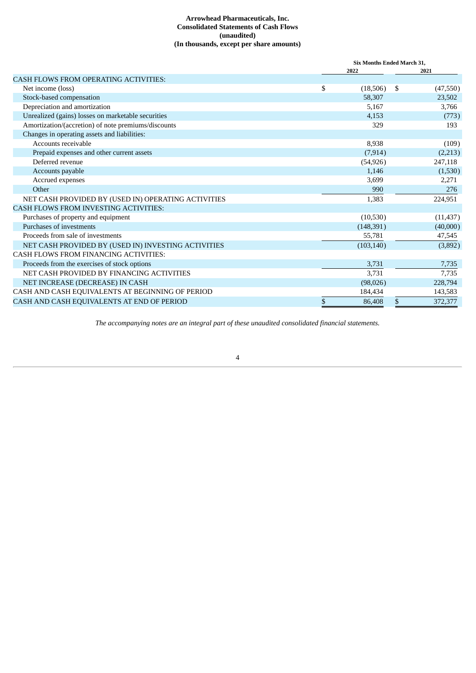# **Arrowhead Pharmaceuticals, Inc. Consolidated Statements of Cash Flows (unaudited) (In thousands, except per share amounts)**

<span id="page-5-0"></span>

|                                                     | Six Months Ended March 31, |    |           |  |  |  |
|-----------------------------------------------------|----------------------------|----|-----------|--|--|--|
|                                                     | 2022                       |    | 2021      |  |  |  |
| <b>CASH FLOWS FROM OPERATING ACTIVITIES:</b>        |                            |    |           |  |  |  |
| Net income (loss)                                   | \$<br>(18,506)             | \$ | (47, 550) |  |  |  |
| Stock-based compensation                            | 58,307                     |    | 23,502    |  |  |  |
| Depreciation and amortization                       | 5,167                      |    | 3,766     |  |  |  |
| Unrealized (gains) losses on marketable securities  | 4,153                      |    | (773)     |  |  |  |
| Amortization/(accretion) of note premiums/discounts | 329                        |    | 193       |  |  |  |
| Changes in operating assets and liabilities:        |                            |    |           |  |  |  |
| Accounts receivable                                 | 8,938                      |    | (109)     |  |  |  |
| Prepaid expenses and other current assets           | (7, 914)                   |    | (2,213)   |  |  |  |
| Deferred revenue                                    | (54, 926)                  |    | 247,118   |  |  |  |
| Accounts payable                                    | 1,146                      |    | (1,530)   |  |  |  |
| Accrued expenses                                    | 3,699                      |    | 2,271     |  |  |  |
| Other                                               | 990                        |    | 276       |  |  |  |
| NET CASH PROVIDED BY (USED IN) OPERATING ACTIVITIES | 1,383                      |    | 224,951   |  |  |  |
| CASH FLOWS FROM INVESTING ACTIVITIES:               |                            |    |           |  |  |  |
| Purchases of property and equipment                 | (10,530)                   |    | (11, 437) |  |  |  |
| Purchases of investments                            | (148, 391)                 |    | (40,000)  |  |  |  |
| Proceeds from sale of investments                   | 55,781                     |    | 47,545    |  |  |  |
| NET CASH PROVIDED BY (USED IN) INVESTING ACTIVITIES | (103, 140)                 |    | (3,892)   |  |  |  |
| CASH FLOWS FROM FINANCING ACTIVITIES:               |                            |    |           |  |  |  |
| Proceeds from the exercises of stock options        | 3,731                      |    | 7,735     |  |  |  |
| NET CASH PROVIDED BY FINANCING ACTIVITIES           | 3,731                      |    | 7,735     |  |  |  |
| NET INCREASE (DECREASE) IN CASH                     | (98,026)                   |    | 228,794   |  |  |  |
| CASH AND CASH EQUIVALENTS AT BEGINNING OF PERIOD    | 184,434                    |    | 143,583   |  |  |  |
| CASH AND CASH EQUIVALENTS AT END OF PERIOD          | \$<br>86,408               | \$ | 372,377   |  |  |  |

*The accompanying notes are an integral part of these unaudited consolidated financial statements.*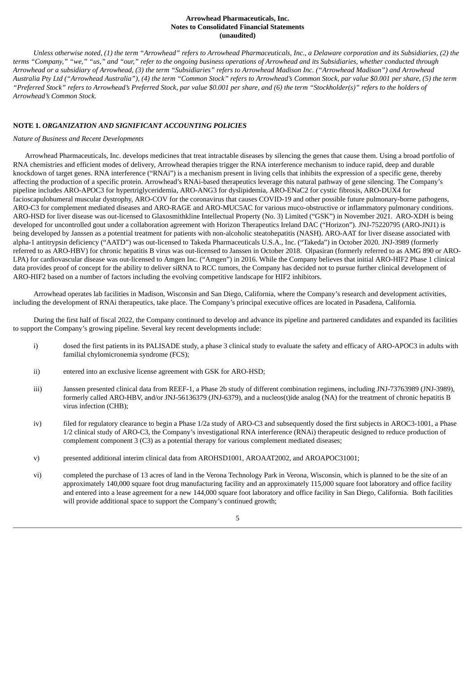### **Arrowhead Pharmaceuticals, Inc. Notes to Consolidated Financial Statements (unaudited)**

<span id="page-6-0"></span>Unless otherwise noted, (1) the term "Arrowhead" refers to Arrowhead Pharmaceuticals, Inc., a Delaware corporation and its Subsidiaries, (2) the terms "Company," "we," "us," and "our," refer to the ongoing business operations of Arrowhead and its Subsidiaries, whether conducted through Arrowhead or a subsidiary of Arrowhead, (3) the term "Subsidiaries" refers to Arrowhead Madison Inc. ("Arrowhead Madison") and Arrowhead Australia Pty Ltd ("Arrowhead Australia"), (4) the term "Common Stock" refers to Arrowhead's Common Stock, par value \$0.001 per share, (5) the term "Preferred Stock" refers to Arrowhead's Preferred Stock, par value \$0.001 per share, and (6) the term "Stockholder(s)" refers to the holders of *Arrowhead's Common Stock.*

### **NOTE 1.** *ORGANIZATION AND SIGNIFICANT ACCOUNTING POLICIES*

#### *Nature of Business and Recent Developments*

Arrowhead Pharmaceuticals, Inc. develops medicines that treat intractable diseases by silencing the genes that cause them. Using a broad portfolio of RNA chemistries and efficient modes of delivery, Arrowhead therapies trigger the RNA interference mechanism to induce rapid, deep and durable knockdown of target genes. RNA interference ("RNAi") is a mechanism present in living cells that inhibits the expression of a specific gene, thereby affecting the production of a specific protein. Arrowhead's RNAi-based therapeutics leverage this natural pathway of gene silencing. The Company's pipeline includes ARO-APOC3 for hypertriglyceridemia, ARO-ANG3 for dyslipidemia, ARO-ENaC2 for cystic fibrosis, ARO-DUX4 for facioscapulohumeral muscular dystrophy, ARO-COV for the coronavirus that causes COVID-19 and other possible future pulmonary-borne pathogens, ARO-C3 for complement mediated diseases and ARO-RAGE and ARO-MUC5AC for various muco-obstructive or inflammatory pulmonary conditions. ARO-HSD for liver disease was out-licensed to Glaxosmithkline Intellectual Property (No. 3) Limited ("GSK") in November 2021. ARO-XDH is being developed for uncontrolled gout under a collaboration agreement with Horizon Therapeutics Ireland DAC ("Horizon"). JNJ-75220795 (ARO-JNJ1) is being developed by Janssen as a potential treatment for patients with non-alcoholic steatohepatitis (NASH). ARO-AAT for liver disease associated with alpha-1 antitrypsin deficiency ("AATD") was out-licensed to Takeda Pharmaceuticals U.S.A., Inc. ("Takeda") in October 2020. JNJ-3989 (formerly referred to as ARO-HBV) for chronic hepatitis B virus was out-licensed to Janssen in October 2018. Olpasiran (formerly referred to as AMG 890 or ARO-LPA) for cardiovascular disease was out-licensed to Amgen Inc. ("Amgen") in 2016. While the Company believes that initial ARO-HIF2 Phase 1 clinical data provides proof of concept for the ability to deliver siRNA to RCC tumors, the Company has decided not to pursue further clinical development of ARO-HIF2 based on a number of factors including the evolving competitive landscape for HIF2 inhibitors.

Arrowhead operates lab facilities in Madison, Wisconsin and San Diego, California, where the Company's research and development activities, including the development of RNAi therapeutics, take place. The Company's principal executive offices are located in Pasadena, California.

During the first half of fiscal 2022, the Company continued to develop and advance its pipeline and partnered candidates and expanded its facilities to support the Company's growing pipeline. Several key recent developments include:

- i) dosed the first patients in its PALISADE study, a phase 3 clinical study to evaluate the safety and efficacy of ARO-APOC3 in adults with familial chylomicronemia syndrome (FCS);
- ii) entered into an exclusive license agreement with GSK for ARO-HSD;
- iii) Janssen presented clinical data from REEF-1, a Phase 2b study of different combination regimens, including JNJ-73763989 (JNJ-3989), formerly called ARO-HBV, and/or JNJ-56136379 (JNJ-6379), and a nucleos(t)ide analog (NA) for the treatment of chronic hepatitis B virus infection (CHB);
- iv) filed for regulatory clearance to begin a Phase 1/2a study of ARO-C3 and subsequently dosed the first subjects in AROC3-1001, a Phase 1/2 clinical study of ARO-C3, the Company's investigational RNA interference (RNAi) therapeutic designed to reduce production of complement component 3 (C3) as a potential therapy for various complement mediated diseases;
- v) presented additional interim clinical data from AROHSD1001, AROAAT2002, and AROAPOC31001;
- vi) completed the purchase of 13 acres of land in the Verona Technology Park in Verona, Wisconsin, which is planned to be the site of an approximately 140,000 square foot drug manufacturing facility and an approximately 115,000 square foot laboratory and office facility and entered into a lease agreement for a new 144,000 square foot laboratory and office facility in San Diego, California. Both facilities will provide additional space to support the Company's continued growth;

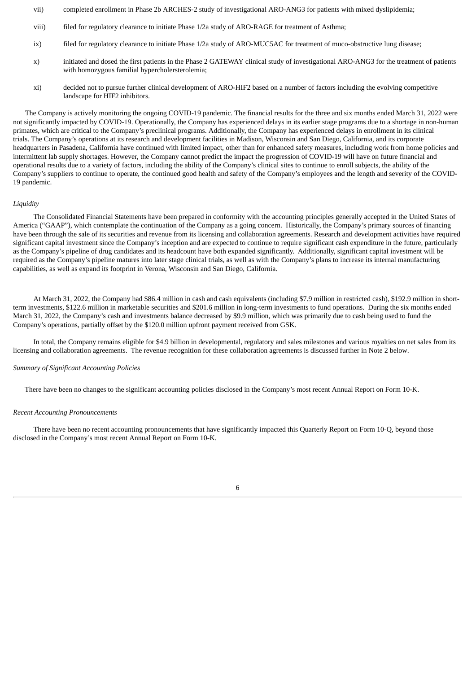- vii) completed enrollment in Phase 2b ARCHES-2 study of investigational ARO-ANG3 for patients with mixed dyslipidemia;
- viii) filed for regulatory clearance to initiate Phase 1/2a study of ARO-RAGE for treatment of Asthma;
- ix) filed for regulatory clearance to initiate Phase 1/2a study of ARO-MUC5AC for treatment of muco-obstructive lung disease;
- x) initiated and dosed the first patients in the Phase 2 GATEWAY clinical study of investigational ARO-ANG3 for the treatment of patients with homozygous familial hypercholersterolemia;
- xi) decided not to pursue further clinical development of ARO-HIF2 based on a number of factors including the evolving competitive landscape for HIF2 inhibitors.

The Company is actively monitoring the ongoing COVID-19 pandemic. The financial results for the three and six months ended March 31, 2022 were not significantly impacted by COVID-19. Operationally, the Company has experienced delays in its earlier stage programs due to a shortage in non-human primates, which are critical to the Company's preclinical programs. Additionally, the Company has experienced delays in enrollment in its clinical trials. The Company's operations at its research and development facilities in Madison, Wisconsin and San Diego, California, and its corporate headquarters in Pasadena, California have continued with limited impact, other than for enhanced safety measures, including work from home policies and intermittent lab supply shortages. However, the Company cannot predict the impact the progression of COVID-19 will have on future financial and operational results due to a variety of factors, including the ability of the Company's clinical sites to continue to enroll subjects, the ability of the Company's suppliers to continue to operate, the continued good health and safety of the Company's employees and the length and severity of the COVID-19 pandemic.

#### *Liquidity*

The Consolidated Financial Statements have been prepared in conformity with the accounting principles generally accepted in the United States of America ("GAAP"), which contemplate the continuation of the Company as a going concern. Historically, the Company's primary sources of financing have been through the sale of its securities and revenue from its licensing and collaboration agreements. Research and development activities have required significant capital investment since the Company's inception and are expected to continue to require significant cash expenditure in the future, particularly as the Company's pipeline of drug candidates and its headcount have both expanded significantly. Additionally, significant capital investment will be required as the Company's pipeline matures into later stage clinical trials, as well as with the Company's plans to increase its internal manufacturing capabilities, as well as expand its footprint in Verona, Wisconsin and San Diego, California.

At March 31, 2022, the Company had \$86.4 million in cash and cash equivalents (including \$7.9 million in restricted cash), \$192.9 million in shortterm investments, \$122.6 million in marketable securities and \$201.6 million in long-term investments to fund operations. During the six months ended March 31, 2022, the Company's cash and investments balance decreased by \$9.9 million, which was primarily due to cash being used to fund the Company's operations, partially offset by the \$120.0 million upfront payment received from GSK.

In total, the Company remains eligible for \$4.9 billion in developmental, regulatory and sales milestones and various royalties on net sales from its licensing and collaboration agreements. The revenue recognition for these collaboration agreements is discussed further in Note 2 below.

#### *Summary of Significant Accounting Policies*

There have been no changes to the significant accounting policies disclosed in the Company's most recent Annual Report on Form 10-K.

#### *Recent Accounting Pronouncements*

There have been no recent accounting pronouncements that have significantly impacted this Quarterly Report on Form 10-Q, beyond those disclosed in the Company's most recent Annual Report on Form 10-K.

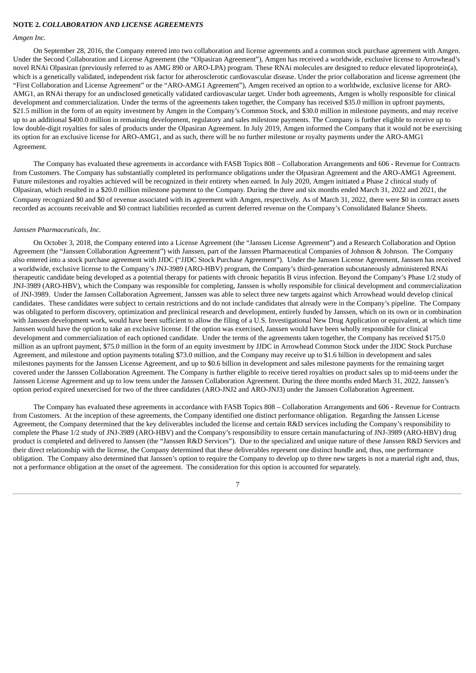## **NOTE 2.** *COLLABORATION AND LICENSE AGREEMENTS*

#### *Amgen Inc.*

On September 28, 2016, the Company entered into two collaboration and license agreements and a common stock purchase agreement with Amgen. Under the Second Collaboration and License Agreement (the "Olpasiran Agreement"), Amgen has received a worldwide, exclusive license to Arrowhead's novel RNAi Olpasiran (previously referred to as AMG 890 or ARO-LPA) program. These RNAi molecules are designed to reduce elevated lipoprotein(a), which is a genetically validated, independent risk factor for atherosclerotic cardiovascular disease. Under the prior collaboration and license agreement (the "First Collaboration and License Agreement" or the "ARO-AMG1 Agreement"), Amgen received an option to a worldwide, exclusive license for ARO-AMG1, an RNAi therapy for an undisclosed genetically validated cardiovascular target. Under both agreements, Amgen is wholly responsible for clinical development and commercialization. Under the terms of the agreements taken together, the Company has received \$35.0 million in upfront payments, \$21.5 million in the form of an equity investment by Amgen in the Company's Common Stock, and \$30.0 million in milestone payments, and may receive up to an additional \$400.0 million in remaining development, regulatory and sales milestone payments. The Company is further eligible to receive up to low double-digit royalties for sales of products under the Olpasiran Agreement. In July 2019, Amgen informed the Company that it would not be exercising its option for an exclusive license for ARO-AMG1, and as such, there will be no further milestone or royalty payments under the ARO-AMG1 Agreement.

The Company has evaluated these agreements in accordance with FASB Topics 808 – Collaboration Arrangements and 606 - Revenue for Contracts from Customers. The Company has substantially completed its performance obligations under the Olpasiran Agreement and the ARO-AMG1 Agreement. Future milestones and royalties achieved will be recognized in their entirety when earned. In July 2020, Amgen initiated a Phase 2 clinical study of Olpasiran, which resulted in a \$20.0 million milestone payment to the Company. During the three and six months ended March 31, 2022 and 2021, the Company recognized \$0 and \$0 of revenue associated with its agreement with Amgen, respectively. As of March 31, 2022, there were \$0 in contract assets recorded as accounts receivable and \$0 contract liabilities recorded as current deferred revenue on the Company's Consolidated Balance Sheets.

#### *Janssen Pharmaceuticals, Inc.*

On October 3, 2018, the Company entered into a License Agreement (the "Janssen License Agreement") and a Research Collaboration and Option Agreement (the "Janssen Collaboration Agreement") with Janssen, part of the Janssen Pharmaceutical Companies of Johnson & Johnson. The Company also entered into a stock purchase agreement with JJDC ("JJDC Stock Purchase Agreement"). Under the Janssen License Agreement, Janssen has received a worldwide, exclusive license to the Company's JNJ-3989 (ARO-HBV) program, the Company's third-generation subcutaneously administered RNAi therapeutic candidate being developed as a potential therapy for patients with chronic hepatitis B virus infection. Beyond the Company's Phase 1/2 study of JNJ-3989 (ARO-HBV), which the Company was responsible for completing, Janssen is wholly responsible for clinical development and commercialization of JNJ-3989. Under the Janssen Collaboration Agreement, Janssen was able to select three new targets against which Arrowhead would develop clinical candidates. These candidates were subject to certain restrictions and do not include candidates that already were in the Company's pipeline. The Company was obligated to perform discovery, optimization and preclinical research and development, entirely funded by Janssen, which on its own or in combination with Janssen development work, would have been sufficient to allow the filing of a U.S. Investigational New Drug Application or equivalent, at which time Janssen would have the option to take an exclusive license. If the option was exercised, Janssen would have been wholly responsible for clinical development and commercialization of each optioned candidate. Under the terms of the agreements taken together, the Company has received \$175.0 million as an upfront payment, \$75.0 million in the form of an equity investment by JJDC in Arrowhead Common Stock under the JJDC Stock Purchase Agreement, and milestone and option payments totaling \$73.0 million, and the Company may receive up to \$1.6 billion in development and sales milestones payments for the Janssen License Agreement, and up to \$0.6 billion in development and sales milestone payments for the remaining target covered under the Janssen Collaboration Agreement. The Company is further eligible to receive tiered royalties on product sales up to mid-teens under the Janssen License Agreement and up to low teens under the Janssen Collaboration Agreement. During the three months ended March 31, 2022, Janssen's option period expired unexercised for two of the three candidates (ARO-JNJ2 and ARO-JNJ3) under the Janssen Collaboration Agreement.

The Company has evaluated these agreements in accordance with FASB Topics 808 – Collaboration Arrangements and 606 - Revenue for Contracts from Customers. At the inception of these agreements, the Company identified one distinct performance obligation. Regarding the Janssen License Agreement, the Company determined that the key deliverables included the license and certain R&D services including the Company's responsibility to complete the Phase 1/2 study of JNJ-3989 (ARO-HBV) and the Company's responsibility to ensure certain manufacturing of JNJ-3989 (ARO-HBV) drug product is completed and delivered to Janssen (the "Janssen R&D Services"). Due to the specialized and unique nature of these Janssen R&D Services and their direct relationship with the license, the Company determined that these deliverables represent one distinct bundle and, thus, one performance obligation. The Company also determined that Janssen's option to require the Company to develop up to three new targets is not a material right and, thus, not a performance obligation at the onset of the agreement. The consideration for this option is accounted for separately.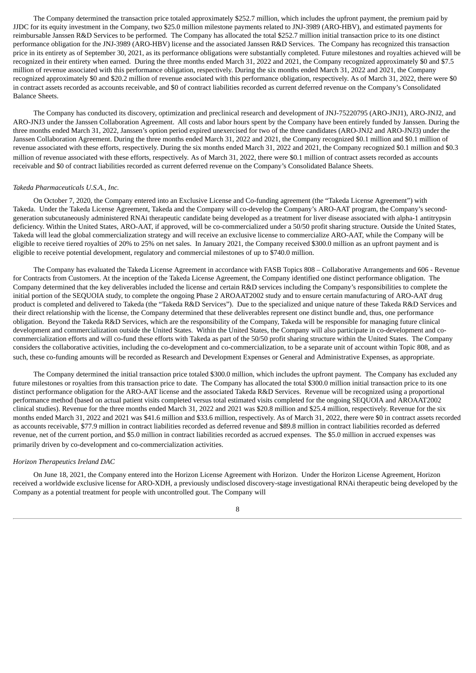The Company determined the transaction price totaled approximately \$252.7 million, which includes the upfront payment, the premium paid by JJDC for its equity investment in the Company, two \$25.0 million milestone payments related to JNJ-3989 (ARO-HBV), and estimated payments for reimbursable Janssen R&D Services to be performed. The Company has allocated the total \$252.7 million initial transaction price to its one distinct performance obligation for the JNJ-3989 (ARO-HBV) license and the associated Janssen R&D Services. The Company has recognized this transaction price in its entirety as of September 30, 2021, as its performance obligations were substantially completed. Future milestones and royalties achieved will be recognized in their entirety when earned. During the three months ended March 31, 2022 and 2021, the Company recognized approximately \$0 and \$7.5 million of revenue associated with this performance obligation, respectively. During the six months ended March 31, 2022 and 2021, the Company recognized approximately \$0 and \$20.2 million of revenue associated with this performance obligation, respectively. As of March 31, 2022, there were \$0 in contract assets recorded as accounts receivable, and \$0 of contract liabilities recorded as current deferred revenue on the Company's Consolidated Balance Sheets.

The Company has conducted its discovery, optimization and preclinical research and development of JNJ-75220795 (ARO-JNJ1), ARO-JNJ2, and ARO-JNJ3 under the Janssen Collaboration Agreement. All costs and labor hours spent by the Company have been entirely funded by Janssen. During the three months ended March 31, 2022, Janssen's option period expired unexercised for two of the three candidates (ARO-JNJ2 and ARO-JNJ3) under the Janssen Collaboration Agreement. During the three months ended March 31, 2022 and 2021, the Company recognized \$0.1 million and \$0.1 million of revenue associated with these efforts, respectively. During the six months ended March 31, 2022 and 2021, the Company recognized \$0.1 million and \$0.3 million of revenue associated with these efforts, respectively. As of March 31, 2022, there were \$0.1 million of contract assets recorded as accounts receivable and \$0 of contract liabilities recorded as current deferred revenue on the Company's Consolidated Balance Sheets.

### *Takeda Pharmaceuticals U.S.A., Inc.*

On October 7, 2020, the Company entered into an Exclusive License and Co-funding agreement (the "Takeda License Agreement") with Takeda. Under the Takeda License Agreement, Takeda and the Company will co-develop the Company's ARO-AAT program, the Company's secondgeneration subcutaneously administered RNAi therapeutic candidate being developed as a treatment for liver disease associated with alpha-1 antitrypsin deficiency. Within the United States, ARO-AAT, if approved, will be co-commercialized under a 50/50 profit sharing structure. Outside the United States, Takeda will lead the global commercialization strategy and will receive an exclusive license to commercialize ARO-AAT, while the Company will be eligible to receive tiered royalties of 20% to 25% on net sales. In January 2021, the Company received \$300.0 million as an upfront payment and is eligible to receive potential development, regulatory and commercial milestones of up to \$740.0 million.

The Company has evaluated the Takeda License Agreement in accordance with FASB Topics 808 – Collaborative Arrangements and 606 - Revenue for Contracts from Customers. At the inception of the Takeda License Agreement, the Company identified one distinct performance obligation. The Company determined that the key deliverables included the license and certain R&D services including the Company's responsibilities to complete the initial portion of the SEQUOIA study, to complete the ongoing Phase 2 AROAAT2002 study and to ensure certain manufacturing of ARO-AAT drug product is completed and delivered to Takeda (the "Takeda R&D Services"). Due to the specialized and unique nature of these Takeda R&D Services and their direct relationship with the license, the Company determined that these deliverables represent one distinct bundle and, thus, one performance obligation. Beyond the Takeda R&D Services, which are the responsibility of the Company, Takeda will be responsible for managing future clinical development and commercialization outside the United States. Within the United States, the Company will also participate in co-development and cocommercialization efforts and will co-fund these efforts with Takeda as part of the 50/50 profit sharing structure within the United States. The Company considers the collaborative activities, including the co-development and co-commercialization, to be a separate unit of account within Topic 808, and as such, these co-funding amounts will be recorded as Research and Development Expenses or General and Administrative Expenses, as appropriate.

The Company determined the initial transaction price totaled \$300.0 million, which includes the upfront payment. The Company has excluded any future milestones or royalties from this transaction price to date. The Company has allocated the total \$300.0 million initial transaction price to its one distinct performance obligation for the ARO-AAT license and the associated Takeda R&D Services. Revenue will be recognized using a proportional performance method (based on actual patient visits completed versus total estimated visits completed for the ongoing SEQUOIA and AROAAT2002 clinical studies). Revenue for the three months ended March 31, 2022 and 2021 was \$20.8 million and \$25.4 million, respectively. Revenue for the six months ended March 31, 2022 and 2021 was \$41.6 million and \$33.6 million, respectively. As of March 31, 2022, there were \$0 in contract assets recorded as accounts receivable, \$77.9 million in contract liabilities recorded as deferred revenue and \$89.8 million in contract liabilities recorded as deferred revenue, net of the current portion, and \$5.0 million in contract liabilities recorded as accrued expenses. The \$5.0 million in accrued expenses was primarily driven by co-development and co-commercialization activities.

#### *Horizon Therapeutics Ireland DAC*

On June 18, 2021, the Company entered into the Horizon License Agreement with Horizon. Under the Horizon License Agreement, Horizon received a worldwide exclusive license for ARO-XDH, a previously undisclosed discovery-stage investigational RNAi therapeutic being developed by the Company as a potential treatment for people with uncontrolled gout. The Company will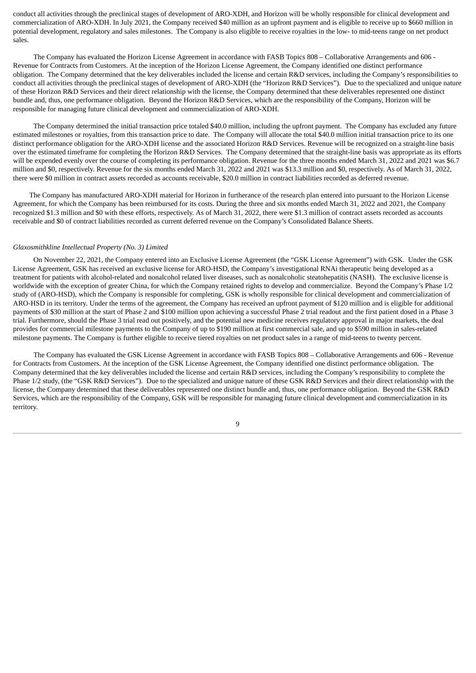conduct all activities through the preclinical stages of development of ARO-XDH, and Horizon will be wholly responsible for clinical development and commercialization of ARO-XDH. In July 2021, the Company received \$40 million as an upfront payment and is eligible to receive up to \$660 million in potential development, regulatory and sales milestones. The Company is also eligible to receive royalties in the low- to mid-teens range on net product sales.

The Company has evaluated the Horizon License Agreement in accordance with FASB Topics 808 – Collaborative Arrangements and 606 - Revenue for Contracts from Customers. At the inception of the Horizon License Agreement, the Company identified one distinct performance obligation. The Company determined that the key deliverables included the license and certain R&D services, including the Company's responsibilities to conduct all activities through the preclinical stages of development of ARO-XDH (the "Horizon R&D Services"). Due to the specialized and unique nature of these Horizon R&D Services and their direct relationship with the license, the Company determined that these deliverables represented one distinct bundle and, thus, one performance obligation. Beyond the Horizon R&D Services, which are the responsibility of the Company, Horizon will be responsible for managing future clinical development and commercialization of ARO-XDH.

The Company determined the initial transaction price totaled \$40.0 million, including the upfront payment. The Company has excluded any future estimated milestones or royalties, from this transaction price to date. The Company will allocate the total \$40.0 million initial transaction price to its one distinct performance obligation for the ARO-XDH license and the associated Horizon R&D Services. Revenue will be recognized on a straight-line basis over the estimated timeframe for completing the Horizon R&D Services. The Company determined that the straight-line basis was appropriate as its efforts will be expended evenly over the course of completing its performance obligation. Revenue for the three months ended March 31, 2022 and 2021 was \$6.7 million and \$0, respectively. Revenue for the six months ended March 31, 2022 and 2021 was \$13.3 million and \$0, respectively. As of March 31, 2022, there were \$0 million in contract assets recorded as accounts receivable, \$20.0 million in contract liabilities recorded as deferred revenue.

The Company has manufactured ARO-XDH material for Horizon in furtherance of the research plan entered into pursuant to the Horizon License Agreement, for which the Company has been reimbursed for its costs. During the three and six months ended March 31, 2022 and 2021, the Company recognized \$1.3 million and \$0 with these efforts, respectively. As of March 31, 2022, there were \$1.3 million of contract assets recorded as accounts receivable and \$0 of contract liabilities recorded as current deferred revenue on the Company's Consolidated Balance Sheets.

#### *Glaxosmithkline Intellectual Property (No. 3) Limited*

On November 22, 2021, the Company entered into an Exclusive License Agreement (the "GSK License Agreement") with GSK. Under the GSK License Agreement, GSK has received an exclusive license for ARO-HSD, the Company's investigational RNAi therapeutic being developed as a treatment for patients with alcohol-related and nonalcohol related liver diseases, such as nonalcoholic steatohepatitis (NASH). The exclusive license is worldwide with the exception of greater China, for which the Company retained rights to develop and commercialize. Beyond the Company's Phase 1/2 study of (ARO-HSD), which the Company is responsible for completing, GSK is wholly responsible for clinical development and commercialization of ARO-HSD in its territory. Under the terms of the agreement, the Company has received an upfront payment of \$120 million and is eligible for additional payments of \$30 million at the start of Phase 2 and \$100 million upon achieving a successful Phase 2 trial readout and the first patient dosed in a Phase 3 trial. Furthermore, should the Phase 3 trial read out positively, and the potential new medicine receives regulatory approval in major markets, the deal provides for commercial milestone payments to the Company of up to \$190 million at first commercial sale, and up to \$590 million in sales-related milestone payments. The Company is further eligible to receive tiered royalties on net product sales in a range of mid-teens to twenty percent.

The Company has evaluated the GSK License Agreement in accordance with FASB Topics 808 – Collaborative Arrangements and 606 - Revenue for Contracts from Customers. At the inception of the GSK License Agreement, the Company identified one distinct performance obligation. The Company determined that the key deliverables included the license and certain R&D services, including the Company's responsibility to complete the Phase 1/2 study, (the "GSK R&D Services"). Due to the specialized and unique nature of these GSK R&D Services and their direct relationship with the license, the Company determined that these deliverables represented one distinct bundle and, thus, one performance obligation. Beyond the GSK R&D Services, which are the responsibility of the Company, GSK will be responsible for managing future clinical development and commercialization in its territory.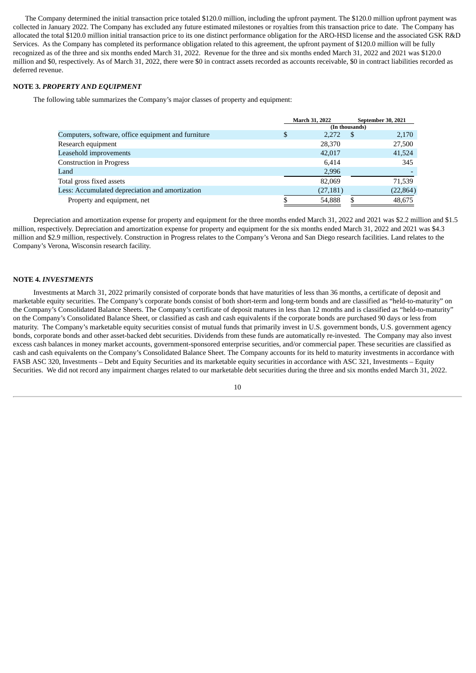The Company determined the initial transaction price totaled \$120.0 million, including the upfront payment. The \$120.0 million upfront payment was collected in January 2022. The Company has excluded any future estimated milestones or royalties from this transaction price to date. The Company has allocated the total \$120.0 million initial transaction price to its one distinct performance obligation for the ARO-HSD license and the associated GSK R&D Services. As the Company has completed its performance obligation related to this agreement, the upfront payment of \$120.0 million will be fully recognized as of the three and six months ended March 31, 2022. Revenue for the three and six months ended March 31, 2022 and 2021 was \$120.0 million and \$0, respectively. As of March 31, 2022, there were \$0 in contract assets recorded as accounts receivable, \$0 in contract liabilities recorded as deferred revenue.

### **NOTE 3.** *PROPERTY AND EQUIPMENT*

The following table summarizes the Company's major classes of property and equipment:

|                                                     |   | <b>March 31, 2022</b> |  | <b>September 30, 2021</b> |  |  |  |  |  |
|-----------------------------------------------------|---|-----------------------|--|---------------------------|--|--|--|--|--|
|                                                     |   | (In thousands)        |  |                           |  |  |  |  |  |
| Computers, software, office equipment and furniture | S | 2,272                 |  | 2,170                     |  |  |  |  |  |
| Research equipment                                  |   | 28,370                |  | 27,500                    |  |  |  |  |  |
| Leasehold improvements                              |   | 42,017                |  | 41,524                    |  |  |  |  |  |
| <b>Construction in Progress</b>                     |   | 6.414                 |  | 345                       |  |  |  |  |  |
| Land                                                |   | 2,996                 |  |                           |  |  |  |  |  |
| Total gross fixed assets                            |   | 82,069                |  | 71,539                    |  |  |  |  |  |
| Less: Accumulated depreciation and amortization     |   | (27, 181)             |  | (22, 864)                 |  |  |  |  |  |
| Property and equipment, net                         |   | 54,888                |  | 48,675                    |  |  |  |  |  |

Depreciation and amortization expense for property and equipment for the three months ended March 31, 2022 and 2021 was \$2.2 million and \$1.5 million, respectively. Depreciation and amortization expense for property and equipment for the six months ended March 31, 2022 and 2021 was \$4.3 million and \$2.9 million, respectively. Construction in Progress relates to the Company's Verona and San Diego research facilities. Land relates to the Company's Verona, Wisconsin research facility.

### **NOTE 4.** *INVESTMENTS*

Investments at March 31, 2022 primarily consisted of corporate bonds that have maturities of less than 36 months, a certificate of deposit and marketable equity securities. The Company's corporate bonds consist of both short-term and long-term bonds and are classified as "held-to-maturity" on the Company's Consolidated Balance Sheets. The Company's certificate of deposit matures in less than 12 months and is classified as "held-to-maturity" on the Company's Consolidated Balance Sheet, or classified as cash and cash equivalents if the corporate bonds are purchased 90 days or less from maturity. The Company's marketable equity securities consist of mutual funds that primarily invest in U.S. government bonds, U.S. government agency bonds, corporate bonds and other asset-backed debt securities. Dividends from these funds are automatically re-invested. The Company may also invest excess cash balances in money market accounts, government-sponsored enterprise securities, and/or commercial paper. These securities are classified as cash and cash equivalents on the Company's Consolidated Balance Sheet. The Company accounts for its held to maturity investments in accordance with FASB ASC 320, Investments – Debt and Equity Securities and its marketable equity securities in accordance with ASC 321, Investments – Equity Securities. We did not record any impairment charges related to our marketable debt securities during the three and six months ended March 31, 2022.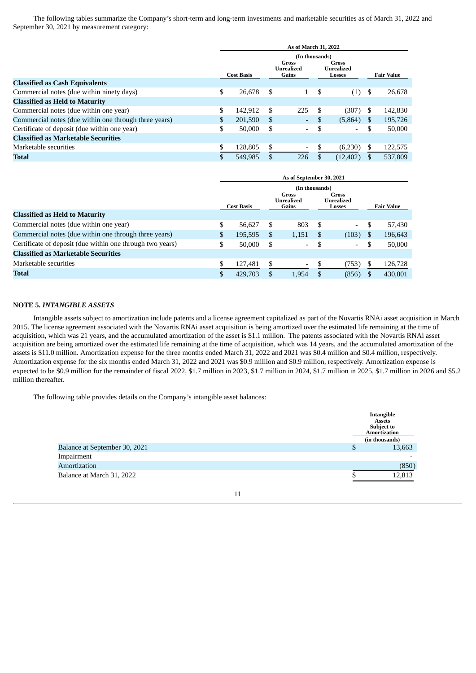The following tables summarize the Company's short-term and long-term investments and marketable securities as of March 31, 2022 and September 30, 2021 by measurement category:

|                                                       |    | As of March 31, 2022 |                              |                          |                                                        |                          |     |                   |  |  |  |
|-------------------------------------------------------|----|----------------------|------------------------------|--------------------------|--------------------------------------------------------|--------------------------|-----|-------------------|--|--|--|
|                                                       |    | <b>Cost Basis</b>    | Gross<br>Unrealized<br>Gains |                          | (In thousands)<br>Gross<br><b>Unrealized</b><br>Losses |                          |     | <b>Fair Value</b> |  |  |  |
| <b>Classified as Cash Equivalents</b>                 |    |                      |                              |                          |                                                        |                          |     |                   |  |  |  |
| Commercial notes (due within ninety days)             | \$ | 26,678               | S                            |                          | \$                                                     | (1)                      | - 5 | 26,678            |  |  |  |
| <b>Classified as Held to Maturity</b>                 |    |                      |                              |                          |                                                        |                          |     |                   |  |  |  |
| Commercial notes (due within one year)                | \$ | 142.912              | \$                           | 225                      | -\$                                                    | (307) \$                 |     | 142,830           |  |  |  |
| Commercial notes (due within one through three years) | \$ | 201,590              | \$                           | ٠                        | S                                                      | (5,864)                  |     | 195,726           |  |  |  |
| Certificate of deposit (due within one year)          | S  | 50,000               | S                            | $\overline{\phantom{a}}$ | \$                                                     | $\overline{\phantom{a}}$ | \$  | 50,000            |  |  |  |
| <b>Classified as Marketable Securities</b>            |    |                      |                              |                          |                                                        |                          |     |                   |  |  |  |
| Marketable securities                                 | \$ | 128.805              | S                            | ٠                        | S                                                      | (6,230)                  | S   | 122,575           |  |  |  |
| Total                                                 |    | 549.985              |                              | 226                      | \$                                                     | (12, 402)                |     | 537,809           |  |  |  |

|                                                           | As of September 30, 2021 |         |                                     |                          |                                      |            |    |                   |  |  |
|-----------------------------------------------------------|--------------------------|---------|-------------------------------------|--------------------------|--------------------------------------|------------|----|-------------------|--|--|
|                                                           |                          |         |                                     | (In thousands)           |                                      |            |    |                   |  |  |
|                                                           | <b>Cost Basis</b>        |         | Gross<br><b>Unrealized</b><br>Gains |                          | Gross<br><b>Unrealized</b><br>Losses |            |    | <b>Fair Value</b> |  |  |
| <b>Classified as Held to Maturity</b>                     |                          |         |                                     |                          |                                      |            |    |                   |  |  |
| Commercial notes (due within one year)                    | \$                       | 56,627  | \$                                  | 803                      | -S                                   | $\sim$     | S  | 57,430            |  |  |
| Commercial notes (due within one through three years)     | \$                       | 195,595 | S                                   | 1,151                    | \$                                   | $(103)$ \$ |    | 196,643           |  |  |
| Certificate of deposit (due within one through two years) | \$                       | 50,000  | S                                   | ۰.                       | \$                                   | $\sim$     | \$ | 50,000            |  |  |
| <b>Classified as Marketable Securities</b>                |                          |         |                                     |                          |                                      |            |    |                   |  |  |
| Marketable securities                                     |                          | 127.481 | S                                   | $\overline{\phantom{a}}$ |                                      | (753)      |    | 126,728           |  |  |
| Total                                                     |                          | 429,703 | \$                                  | 1.954                    | S                                    | (856)      |    | 430.801           |  |  |

## **NOTE 5.** *INTANGIBLE ASSETS*

Intangible assets subject to amortization include patents and a license agreement capitalized as part of the Novartis RNAi asset acquisition in March 2015. The license agreement associated with the Novartis RNAi asset acquisition is being amortized over the estimated life remaining at the time of acquisition, which was 21 years, and the accumulated amortization of the asset is \$1.1 million. The patents associated with the Novartis RNAi asset acquisition are being amortized over the estimated life remaining at the time of acquisition, which was 14 years, and the accumulated amortization of the assets is \$11.0 million. Amortization expense for the three months ended March 31, 2022 and 2021 was \$0.4 million and \$0.4 million, respectively. Amortization expense for the six months ended March 31, 2022 and 2021 was \$0.9 million and \$0.9 million, respectively. Amortization expense is expected to be \$0.9 million for the remainder of fiscal 2022, \$1.7 million in 2023, \$1.7 million in 2024, \$1.7 million in 2025, \$1.7 million in 2026 and \$5.2 million thereafter.

The following table provides details on the Company's intangible asset balances:

|                               | Intangible<br>Assets<br><b>Subject to</b><br><b>Amortization</b><br>(in thousands) |
|-------------------------------|------------------------------------------------------------------------------------|
| Balance at September 30, 2021 | \$<br>13,663                                                                       |
| Impairment                    |                                                                                    |
| Amortization                  | (850)                                                                              |
| Balance at March 31, 2022     | 12,813                                                                             |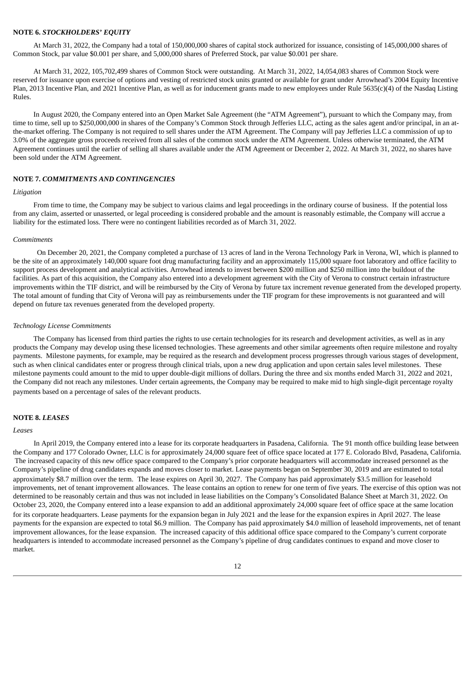### **NOTE 6.** *STOCKHOLDERS' EQUITY*

At March 31, 2022, the Company had a total of 150,000,000 shares of capital stock authorized for issuance, consisting of 145,000,000 shares of Common Stock, par value \$0.001 per share, and 5,000,000 shares of Preferred Stock, par value \$0.001 per share.

At March 31, 2022, 105,702,499 shares of Common Stock were outstanding. At March 31, 2022, 14,054,083 shares of Common Stock were reserved for issuance upon exercise of options and vesting of restricted stock units granted or available for grant under Arrowhead's 2004 Equity Incentive Plan, 2013 Incentive Plan, and 2021 Incentive Plan, as well as for inducement grants made to new employees under Rule 5635(c)(4) of the Nasdaq Listing Rules.

In August 2020, the Company entered into an Open Market Sale Agreement (the "ATM Agreement"), pursuant to which the Company may, from time to time, sell up to \$250,000,000 in shares of the Company's Common Stock through Jefferies LLC, acting as the sales agent and/or principal, in an atthe-market offering. The Company is not required to sell shares under the ATM Agreement. The Company will pay Jefferies LLC a commission of up to 3.0% of the aggregate gross proceeds received from all sales of the common stock under the ATM Agreement. Unless otherwise terminated, the ATM Agreement continues until the earlier of selling all shares available under the ATM Agreement or December 2, 2022. At March 31, 2022, no shares have been sold under the ATM Agreement.

#### **NOTE 7.** *COMMITMENTS AND CONTINGENCIES*

#### *Litigation*

From time to time, the Company may be subject to various claims and legal proceedings in the ordinary course of business. If the potential loss from any claim, asserted or unasserted, or legal proceeding is considered probable and the amount is reasonably estimable, the Company will accrue a liability for the estimated loss. There were no contingent liabilities recorded as of March 31, 2022.

#### *Commitments*

On December 20, 2021, the Company completed a purchase of 13 acres of land in the Verona Technology Park in Verona, WI, which is planned to be the site of an approximately 140,000 square foot drug manufacturing facility and an approximately 115,000 square foot laboratory and office facility to support process development and analytical activities. Arrowhead intends to invest between \$200 million and \$250 million into the buildout of the facilities. As part of this acquisition, the Company also entered into a development agreement with the City of Verona to construct certain infrastructure improvements within the TIF district, and will be reimbursed by the City of Verona by future tax increment revenue generated from the developed property. The total amount of funding that City of Verona will pay as reimbursements under the TIF program for these improvements is not guaranteed and will depend on future tax revenues generated from the developed property.

#### *Technology License Commitments*

The Company has licensed from third parties the rights to use certain technologies for its research and development activities, as well as in any products the Company may develop using these licensed technologies. These agreements and other similar agreements often require milestone and royalty payments. Milestone payments, for example, may be required as the research and development process progresses through various stages of development, such as when clinical candidates enter or progress through clinical trials, upon a new drug application and upon certain sales level milestones. These milestone payments could amount to the mid to upper double-digit millions of dollars. During the three and six months ended March 31, 2022 and 2021, the Company did not reach any milestones. Under certain agreements, the Company may be required to make mid to high single-digit percentage royalty payments based on a percentage of sales of the relevant products.

#### **NOTE 8.** *LEASES*

#### *Leases*

In April 2019, the Company entered into a lease for its corporate headquarters in Pasadena, California. The 91 month office building lease between the Company and 177 Colorado Owner, LLC is for approximately 24,000 square feet of office space located at 177 E. Colorado Blvd, Pasadena, California. The increased capacity of this new office space compared to the Company's prior corporate headquarters will accommodate increased personnel as the Company's pipeline of drug candidates expands and moves closer to market. Lease payments began on September 30, 2019 and are estimated to total approximately \$8.7 million over the term. The lease expires on April 30, 2027. The Company has paid approximately \$3.5 million for leasehold improvements, net of tenant improvement allowances. The lease contains an option to renew for one term of five years. The exercise of this option was not determined to be reasonably certain and thus was not included in lease liabilities on the Company's Consolidated Balance Sheet at March 31, 2022. On October 23, 2020, the Company entered into a lease expansion to add an additional approximately 24,000 square feet of office space at the same location for its corporate headquarters. Lease payments for the expansion began in July 2021 and the lease for the expansion expires in April 2027. The lease payments for the expansion are expected to total \$6.9 million. The Company has paid approximately \$4.0 million of leasehold improvements, net of tenant improvement allowances, for the lease expansion. The increased capacity of this additional office space compared to the Company's current corporate headquarters is intended to accommodate increased personnel as the Company's pipeline of drug candidates continues to expand and move closer to market.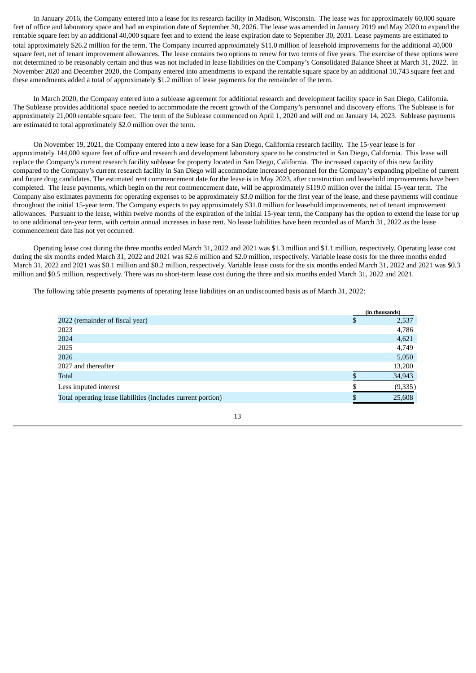In January 2016, the Company entered into a lease for its research facility in Madison, Wisconsin. The lease was for approximately 60,000 square feet of office and laboratory space and had an expiration date of September 30, 2026. The lease was amended in January 2019 and May 2020 to expand the rentable square feet by an additional 40,000 square feet and to extend the lease expiration date to September 30, 2031. Lease payments are estimated to total approximately \$26.2 million for the term. The Company incurred approximately \$11.0 million of leasehold improvements for the additional 40,000 square feet, net of tenant improvement allowances. The lease contains two options to renew for two terms of five years. The exercise of these options were not determined to be reasonably certain and thus was not included in lease liabilities on the Company's Consolidated Balance Sheet at March 31, 2022. In November 2020 and December 2020, the Company entered into amendments to expand the rentable square space by an additional 10,743 square feet and these amendments added a total of approximately \$1.2 million of lease payments for the remainder of the term.

In March 2020, the Company entered into a sublease agreement for additional research and development facility space in San Diego, California. The Sublease provides additional space needed to accommodate the recent growth of the Company's personnel and discovery efforts. The Sublease is for approximately 21,000 rentable square feet. The term of the Sublease commenced on April 1, 2020 and will end on January 14, 2023. Sublease payments are estimated to total approximately \$2.0 million over the term.

On November 19, 2021, the Company entered into a new lease for a San Diego, California research facility. The 15-year lease is for approximately 144,000 square feet of office and research and development laboratory space to be constructed in San Diego, California. This lease will replace the Company's current research facility sublease for property located in San Diego, California. The increased capacity of this new facility compared to the Company's current research facility in San Diego will accommodate increased personnel for the Company's expanding pipeline of current and future drug candidates. The estimated rent commencement date for the lease is in May 2023, after construction and leasehold improvements have been completed. The lease payments, which begin on the rent commencement date, will be approximately \$119.0 million over the initial 15-year term. The Company also estimates payments for operating expenses to be approximately \$3.0 million for the first year of the lease, and these payments will continue throughout the initial 15-year term. The Company expects to pay approximately \$31.0 million for leasehold improvements, net of tenant improvement allowances. Pursuant to the lease, within twelve months of the expiration of the initial 15-year term, the Company has the option to extend the lease for up to one additional ten-year term, with certain annual increases in base rent. No lease liabilities have been recorded as of March 31, 2022 as the lease commencement date has not yet occurred.

Operating lease cost during the three months ended March 31, 2022 and 2021 was \$1.3 million and \$1.1 million, respectively. Operating lease cost during the six months ended March 31, 2022 and 2021 was \$2.6 million and \$2.0 million, respectively. Variable lease costs for the three months ended March 31, 2022 and 2021 was \$0.1 million and \$0.2 million, respectively. Variable lease costs for the six months ended March 31, 2022 and 2021 was \$0.3 million and \$0.5 million, respectively. There was no short-term lease cost during the three and six months ended March 31, 2022 and 2021.

The following table presents payments of operating lease liabilities on an undiscounted basis as of March 31, 2022:

|                                                              |   | (in thousands) |
|--------------------------------------------------------------|---|----------------|
| 2022 (remainder of fiscal year)                              | S | 2,537          |
| 2023                                                         |   | 4,786          |
| 2024                                                         |   | 4,621          |
| 2025                                                         |   | 4,749          |
| 2026                                                         |   | 5,050          |
| 2027 and thereafter                                          |   | 13,200         |
| Total                                                        |   | 34,943         |
| Less imputed interest                                        |   | (9, 335)       |
| Total operating lease liabilities (includes current portion) |   | 25,608         |
|                                                              |   |                |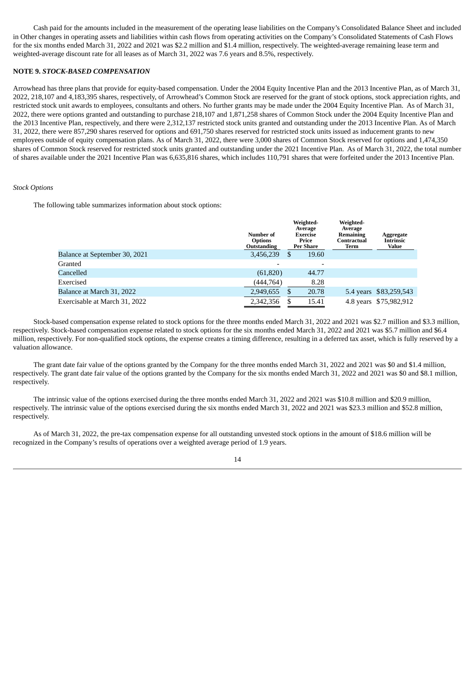Cash paid for the amounts included in the measurement of the operating lease liabilities on the Company's Consolidated Balance Sheet and included in Other changes in operating assets and liabilities within cash flows from operating activities on the Company's Consolidated Statements of Cash Flows for the six months ended March 31, 2022 and 2021 was \$2.2 million and \$1.4 million, respectively. The weighted-average remaining lease term and weighted-average discount rate for all leases as of March 31, 2022 was 7.6 years and 8.5%, respectively.

### **NOTE 9.** *STOCK-BASED COMPENSATION*

Arrowhead has three plans that provide for equity-based compensation. Under the 2004 Equity Incentive Plan and the 2013 Incentive Plan, as of March 31, 2022, 218,107 and 4,183,395 shares, respectively, of Arrowhead's Common Stock are reserved for the grant of stock options, stock appreciation rights, and restricted stock unit awards to employees, consultants and others. No further grants may be made under the 2004 Equity Incentive Plan. As of March 31, 2022, there were options granted and outstanding to purchase 218,107 and 1,871,258 shares of Common Stock under the 2004 Equity Incentive Plan and the 2013 Incentive Plan, respectively, and there were 2,312,137 restricted stock units granted and outstanding under the 2013 Incentive Plan. As of March 31, 2022, there were 857,290 shares reserved for options and 691,750 shares reserved for restricted stock units issued as inducement grants to new employees outside of equity compensation plans. As of March 31, 2022, there were 3,000 shares of Common Stock reserved for options and 1,474,350 shares of Common Stock reserved for restricted stock units granted and outstanding under the 2021 Incentive Plan. As of March 31, 2022, the total number of shares available under the 2021 Incentive Plan was 6,635,816 shares, which includes 110,791 shares that were forfeited under the 2013 Incentive Plan.

## *Stock Options*

The following table summarizes information about stock options:

| Number of<br><b>Options</b><br>Outstanding | Weighted-<br>Average<br>Exercise<br>Price<br>Per Share | Weighted-<br>Average<br>Remaining<br>Contractual<br>Term | Aggregate<br>Intrinsic<br>Value |
|--------------------------------------------|--------------------------------------------------------|----------------------------------------------------------|---------------------------------|
| 3,456,239                                  | 19.60<br>S                                             |                                                          |                                 |
|                                            |                                                        |                                                          |                                 |
| (61, 820)                                  | 44.77                                                  |                                                          |                                 |
| (444, 764)                                 | 8.28                                                   |                                                          |                                 |
| 2,949,655                                  | 20.78<br>\$                                            |                                                          | 5.4 years \$83,259,543          |
| 2,342,356                                  | 15.41<br>\$                                            |                                                          | 4.8 years \$75,982,912          |
|                                            |                                                        |                                                          |                                 |

Stock-based compensation expense related to stock options for the three months ended March 31, 2022 and 2021 was \$2.7 million and \$3.3 million, respectively. Stock-based compensation expense related to stock options for the six months ended March 31, 2022 and 2021 was \$5.7 million and \$6.4 million, respectively. For non-qualified stock options, the expense creates a timing difference, resulting in a deferred tax asset, which is fully reserved by a valuation allowance.

The grant date fair value of the options granted by the Company for the three months ended March 31, 2022 and 2021 was \$0 and \$1.4 million, respectively. The grant date fair value of the options granted by the Company for the six months ended March 31, 2022 and 2021 was \$0 and \$8.1 million, respectively.

The intrinsic value of the options exercised during the three months ended March 31, 2022 and 2021 was \$10.8 million and \$20.9 million, respectively. The intrinsic value of the options exercised during the six months ended March 31, 2022 and 2021 was \$23.3 million and \$52.8 million, respectively.

As of March 31, 2022, the pre-tax compensation expense for all outstanding unvested stock options in the amount of \$18.6 million will be recognized in the Company's results of operations over a weighted average period of 1.9 years.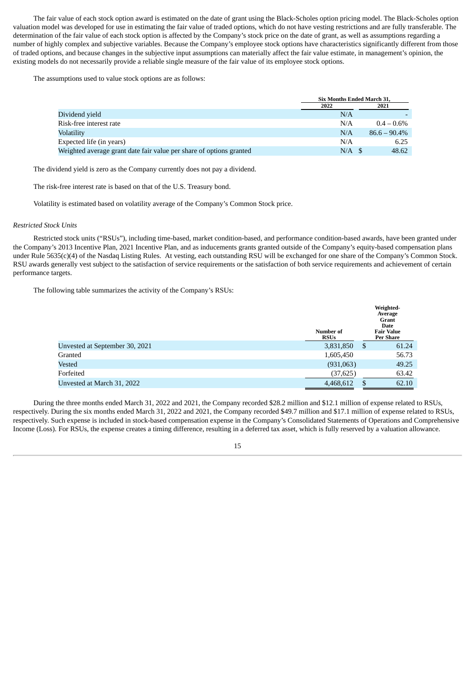The fair value of each stock option award is estimated on the date of grant using the Black-Scholes option pricing model. The Black-Scholes option valuation model was developed for use in estimating the fair value of traded options, which do not have vesting restrictions and are fully transferable. The determination of the fair value of each stock option is affected by the Company's stock price on the date of grant, as well as assumptions regarding a number of highly complex and subjective variables. Because the Company's employee stock options have characteristics significantly different from those of traded options, and because changes in the subjective input assumptions can materially affect the fair value estimate, in management's opinion, the existing models do not necessarily provide a reliable single measure of the fair value of its employee stock options.

The assumptions used to value stock options are as follows:

|                                                                     | Six Months Ended March 31. |                 |
|---------------------------------------------------------------------|----------------------------|-----------------|
|                                                                     | 2022                       | 2021            |
| Dividend vield                                                      | N/A                        |                 |
| Risk-free interest rate                                             | N/A                        | $0.4 - 0.6\%$   |
| Volatility                                                          | N/A                        | $86.6 - 90.4\%$ |
| Expected life (in years)                                            | N/A                        | 6.25            |
| Weighted average grant date fair value per share of options granted | $N/A$ \$                   | 48.62           |

The dividend yield is zero as the Company currently does not pay a dividend.

The risk-free interest rate is based on that of the U.S. Treasury bond.

Volatility is estimated based on volatility average of the Company's Common Stock price.

# *Restricted Stock Units*

Restricted stock units ("RSUs"), including time-based, market condition-based, and performance condition-based awards, have been granted under the Company's 2013 Incentive Plan, 2021 Incentive Plan, and as inducements grants granted outside of the Company's equity-based compensation plans under Rule 5635(c)(4) of the Nasdaq Listing Rules. At vesting, each outstanding RSU will be exchanged for one share of the Company's Common Stock. RSU awards generally vest subject to the satisfaction of service requirements or the satisfaction of both service requirements and achievement of certain performance targets.

The following table summarizes the activity of the Company's RSUs:

|                                | Number of<br><b>RSUs</b> | Weighted-<br>Average<br>Grant<br>Date<br><b>Fair Value</b><br>Per Share |
|--------------------------------|--------------------------|-------------------------------------------------------------------------|
| Unvested at September 30, 2021 | 3,831,850                | \$<br>61.24                                                             |
| Granted                        | 1,605,450                | 56.73                                                                   |
| Vested                         | (931,063)                | 49.25                                                                   |
| Forfeited                      | (37, 625)                | 63.42                                                                   |
| Unvested at March 31, 2022     | 4,468,612                | \$<br>62.10                                                             |

During the three months ended March 31, 2022 and 2021, the Company recorded \$28.2 million and \$12.1 million of expense related to RSUs, respectively. During the six months ended March 31, 2022 and 2021, the Company recorded \$49.7 million and \$17.1 million of expense related to RSUs, respectively. Such expense is included in stock-based compensation expense in the Company's Consolidated Statements of Operations and Comprehensive Income (Loss). For RSUs, the expense creates a timing difference, resulting in a deferred tax asset, which is fully reserved by a valuation allowance.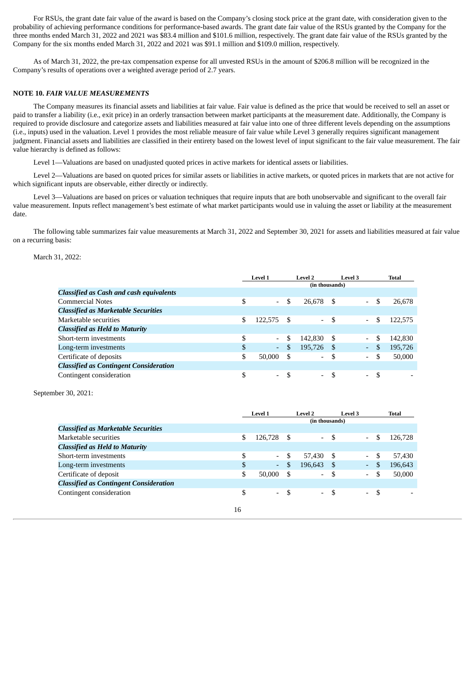For RSUs, the grant date fair value of the award is based on the Company's closing stock price at the grant date, with consideration given to the probability of achieving performance conditions for performance-based awards. The grant date fair value of the RSUs granted by the Company for the three months ended March 31, 2022 and 2021 was \$83.4 million and \$101.6 million, respectively. The grant date fair value of the RSUs granted by the Company for the six months ended March 31, 2022 and 2021 was \$91.1 million and \$109.0 million, respectively.

As of March 31, 2022, the pre-tax compensation expense for all unvested RSUs in the amount of \$206.8 million will be recognized in the Company's results of operations over a weighted average period of 2.7 years.

#### **NOTE 10.** *FAIR VALUE MEASUREMENTS*

The Company measures its financial assets and liabilities at fair value. Fair value is defined as the price that would be received to sell an asset or paid to transfer a liability (i.e., exit price) in an orderly transaction between market participants at the measurement date. Additionally, the Company is required to provide disclosure and categorize assets and liabilities measured at fair value into one of three different levels depending on the assumptions (i.e., inputs) used in the valuation. Level 1 provides the most reliable measure of fair value while Level 3 generally requires significant management judgment. Financial assets and liabilities are classified in their entirety based on the lowest level of input significant to the fair value measurement. The fair value hierarchy is defined as follows:

Level 1—Valuations are based on unadjusted quoted prices in active markets for identical assets or liabilities.

Level 2—Valuations are based on quoted prices for similar assets or liabilities in active markets, or quoted prices in markets that are not active for which significant inputs are observable, either directly or indirectly.

Level 3—Valuations are based on prices or valuation techniques that require inputs that are both unobservable and significant to the overall fair value measurement. Inputs reflect management's best estimate of what market participants would use in valuing the asset or liability at the measurement date.

The following table summarizes fair value measurements at March 31, 2022 and September 30, 2021 for assets and liabilities measured at fair value on a recurring basis:

March 31, 2022:

|                                                | <b>Level 1</b> |                          |     | Level 2        | <b>Level 3</b> |                          |     | <b>Total</b> |
|------------------------------------------------|----------------|--------------------------|-----|----------------|----------------|--------------------------|-----|--------------|
|                                                |                |                          |     | (in thousands) |                |                          |     |              |
| <b>Classified as Cash and cash equivalents</b> |                |                          |     |                |                |                          |     |              |
| <b>Commercial Notes</b>                        | \$             | $\sim$                   | \$  | 26.678         | S              | $\sim$                   | \$  | 26.678       |
| <b>Classified as Marketable Securities</b>     |                |                          |     |                |                |                          |     |              |
| Marketable securities                          |                | 122.575                  | \$. | $\sim$         | - \$           | $\blacksquare$           | \$. | 122,575      |
| <b>Classified as Held to Maturity</b>          |                |                          |     |                |                |                          |     |              |
| Short-term investments                         | \$             | $\sim$                   | \$  | 142,830        | -\$            | $\overline{\phantom{a}}$ | S   | 142,830      |
| Long-term investments                          | \$             | $\sim$                   | \$  | 195,726        | - \$           | $\overline{\phantom{a}}$ | \$  | 195,726      |
| Certificate of deposits                        | \$             | 50,000                   | \$  | $\sim$         | S              | $\overline{\phantom{a}}$ | \$  | 50,000       |
| <b>Classified as Contingent Consideration</b>  |                |                          |     |                |                |                          |     |              |
| Contingent consideration                       | \$             | $\overline{\phantom{0}}$ | S   | $\sim$         | \$.            | $\sim$                   | S   |              |

September 30, 2021:

|                                               | Level 1              |      | Level 2<br>Level 3 |   |                          |    | <b>Total</b> |  |
|-----------------------------------------------|----------------------|------|--------------------|---|--------------------------|----|--------------|--|
|                                               |                      |      | (in thousands)     |   |                          |    |              |  |
| <b>Classified as Marketable Securities</b>    |                      |      |                    |   |                          |    |              |  |
| Marketable securities                         | 126,728 \$           |      | $-5$               |   | $\sim$                   | S  | 126,728      |  |
| <b>Classified as Held to Maturity</b>         |                      |      |                    |   |                          |    |              |  |
| Short-term investments                        | \$<br>$\sim 100$     | -S   | 57,430 \$          |   | $\sim$                   | \$ | 57,430       |  |
| Long-term investments                         | \$<br>$\blacksquare$ | \$   | 196,643            |   | $\sim$                   | S  | 196,643      |  |
| Certificate of deposit                        | \$<br>50,000         | - \$ | $\sim$             | S | $\overline{\phantom{a}}$ | \$ | 50,000       |  |
| <b>Classified as Contingent Consideration</b> |                      |      |                    |   |                          |    |              |  |
| Contingent consideration                      | $- S$                |      | - \$               |   | $\sim$                   | -S |              |  |

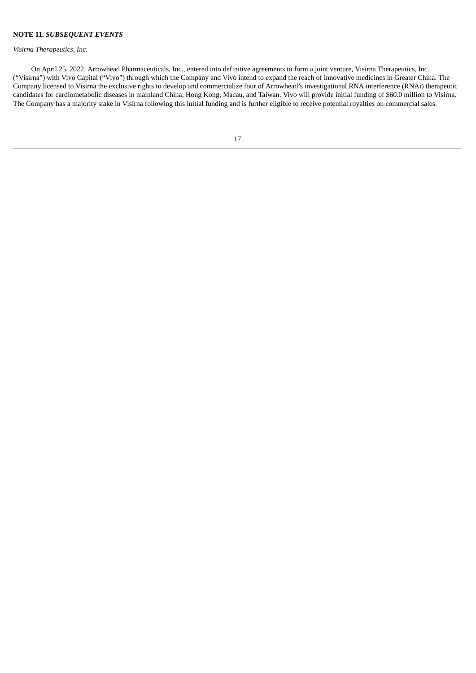## **NOTE 11.** *SUBSEQUENT EVENTS*

## *Visirna Therapeutics, Inc*.

 On April 25, 2022, Arrowhead Pharmaceuticals, Inc., entered into definitive agreements to form a joint venture, Visirna Therapeutics, Inc. ("Visirna") with Vivo Capital ("Vivo") through which the Company and Vivo intend to expand the reach of innovative medicines in Greater China. The Company licensed to Visirna the exclusive rights to develop and commercialize four of Arrowhead's investigational RNA interference (RNAi) therapeutic candidates for cardiometabolic diseases in mainland China, Hong Kong, Macau, and Taiwan. Vivo will provide initial funding of \$60.0 million to Visirna. The Company has a majority stake in Visirna following this initial funding and is further eligible to receive potential royalties on commercial sales.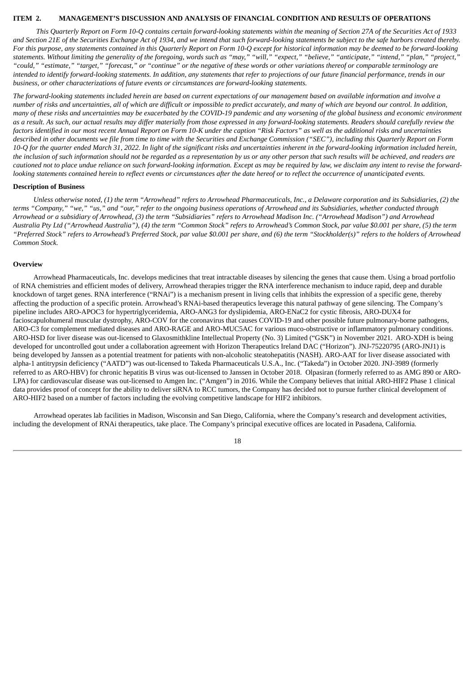#### <span id="page-19-0"></span>**ITEM 2. MANAGEMENT'S DISCUSSION AND ANALYSIS OF FINANCIAL CONDITION AND RESULTS OF OPERATIONS**

This Quarterly Report on Form 10-Q contains certain forward-looking statements within the meaning of Section 27A of the Securities Act of 1933 and Section 21E of the Securities Exchange Act of 1934, and we intend that such forward-looking statements be subject to the safe harbors created thereby. For this purpose, any statements contained in this Quarterly Report on Form 10-Q except for historical information may be deemed to be forward-looking statements. Without limiting the generality of the foregoing, words such as "may," "will," "expect," "believe," "anticipate," "intend," "plan," "project," "could," "estimate," "target," "forecast," or "continue" or the negative of these words or other variations thereof or comparable terminology are intended to identify forward-looking statements. In addition, any statements that refer to projections of our future financial performance, trends in our *business, or other characterizations of future events or circumstances are forward-looking statements.*

The forward-looking statements included herein are based on current expectations of our management based on available information and involve a number of risks and uncertainties, all of which are difficult or impossible to predict accurately, and many of which are beyond our control. In addition, many of these risks and uncertainties may be exacerbated by the COVID-19 pandemic and any worsening of the global business and economic environment as a result. As such, our actual results may differ materially from those expressed in any forward-looking statements. Readers should carefully review the factors identified in our most recent Annual Report on Form 10-K under the caption "Risk Factors" as well as the additional risks and uncertainties described in other documents we file from time to time with the Securities and Exchange Commission ("SEC"), including this Quarterly Report on Form 10-Q for the quarter ended March 31, 2022. In light of the significant risks and uncertainties inherent in the forward-looking information included herein, the inclusion of such information should not be regarded as a representation by us or any other person that such results will be achieved, and readers are cautioned not to place undue reliance on such forward-looking information. Except as may be required by law, we disclaim any intent to revise the forwardlooking statements contained herein to reflect events or circumstances after the date hereof or to reflect the occurrence of unanticipated events.

### **Description of Business**

Unless otherwise noted, (1) the term "Arrowhead" refers to Arrowhead Pharmaceuticals, Inc., a Delaware corporation and its Subsidiaries, (2) the terms "Company," "we," "us," and "our," refer to the ongoing business operations of Arrowhead and its Subsidiaries, whether conducted through Arrowhead or a subsidiary of Arrowhead, (3) the term "Subsidiaries" refers to Arrowhead Madison Inc. ("Arrowhead Madison") and Arrowhead Australia Pty Ltd ("Arrowhead Australia"), (4) the term "Common Stock" refers to Arrowhead's Common Stock, par value \$0.001 per share, (5) the term "Preferred Stock" refers to Arrowhead's Preferred Stock, par value \$0.001 per share, and (6) the term "Stockholder(s)" refers to the holders of Arrowhead *Common Stock.*

#### **Overview**

Arrowhead Pharmaceuticals, Inc. develops medicines that treat intractable diseases by silencing the genes that cause them. Using a broad portfolio of RNA chemistries and efficient modes of delivery, Arrowhead therapies trigger the RNA interference mechanism to induce rapid, deep and durable knockdown of target genes. RNA interference ("RNAi") is a mechanism present in living cells that inhibits the expression of a specific gene, thereby affecting the production of a specific protein. Arrowhead's RNAi-based therapeutics leverage this natural pathway of gene silencing. The Company's pipeline includes ARO-APOC3 for hypertriglyceridemia, ARO-ANG3 for dyslipidemia, ARO-ENaC2 for cystic fibrosis, ARO-DUX4 for facioscapulohumeral muscular dystrophy, ARO-COV for the coronavirus that causes COVID-19 and other possible future pulmonary-borne pathogens, ARO-C3 for complement mediated diseases and ARO-RAGE and ARO-MUC5AC for various muco-obstructive or inflammatory pulmonary conditions. ARO-HSD for liver disease was out-licensed to Glaxosmithkline Intellectual Property (No. 3) Limited ("GSK") in November 2021. ARO-XDH is being developed for uncontrolled gout under a collaboration agreement with Horizon Therapeutics Ireland DAC ("Horizon"). JNJ-75220795 (ARO-JNJ1) is being developed by Janssen as a potential treatment for patients with non-alcoholic steatohepatitis (NASH). ARO-AAT for liver disease associated with alpha-1 antitrypsin deficiency ("AATD") was out-licensed to Takeda Pharmaceuticals U.S.A., Inc. ("Takeda") in October 2020. JNJ-3989 (formerly referred to as ARO-HBV) for chronic hepatitis B virus was out-licensed to Janssen in October 2018. Olpasiran (formerly referred to as AMG 890 or ARO-LPA) for cardiovascular disease was out-licensed to Amgen Inc. ("Amgen") in 2016. While the Company believes that initial ARO-HIF2 Phase 1 clinical data provides proof of concept for the ability to deliver siRNA to RCC tumors, the Company has decided not to pursue further clinical development of ARO-HIF2 based on a number of factors including the evolving competitive landscape for HIF2 inhibitors.

Arrowhead operates lab facilities in Madison, Wisconsin and San Diego, California, where the Company's research and development activities, including the development of RNAi therapeutics, take place. The Company's principal executive offices are located in Pasadena, California.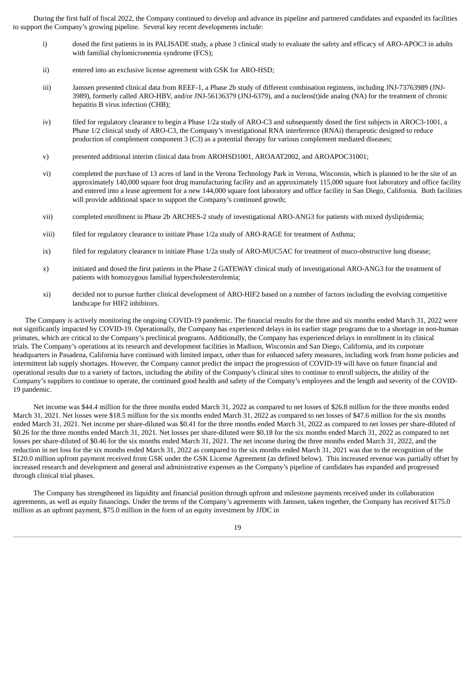During the first half of fiscal 2022, the Company continued to develop and advance its pipeline and partnered candidates and expanded its facilities to support the Company's growing pipeline. Several key recent developments include:

- i) dosed the first patients in its PALISADE study, a phase 3 clinical study to evaluate the safety and efficacy of ARO-APOC3 in adults with familial chylomicronemia syndrome (FCS);
- ii) entered into an exclusive license agreement with GSK for ARO-HSD;
- iii) Janssen presented clinical data from REEF-1, a Phase 2b study of different combination regimens, including JNJ-73763989 (JNJ-3989), formerly called ARO-HBV, and/or JNJ-56136379 (JNJ-6379), and a nucleos(t)ide analog (NA) for the treatment of chronic hepatitis B virus infection (CHB);
- iv) filed for regulatory clearance to begin a Phase 1/2a study of ARO-C3 and subsequently dosed the first subjects in AROC3-1001, a Phase 1/2 clinical study of ARO-C3, the Company's investigational RNA interference (RNAi) therapeutic designed to reduce production of complement component 3 (C3) as a potential therapy for various complement mediated diseases;
- v) presented additional interim clinical data from AROHSD1001, AROAAT2002, and AROAPOC31001;
- vi) completed the purchase of 13 acres of land in the Verona Technology Park in Verona, Wisconsin, which is planned to be the site of an approximately 140,000 square foot drug manufacturing facility and an approximately 115,000 square foot laboratory and office facility and entered into a lease agreement for a new 144,000 square foot laboratory and office facility in San Diego, California. Both facilities will provide additional space to support the Company's continued growth;
- vii) completed enrollment in Phase 2b ARCHES-2 study of investigational ARO-ANG3 for patients with mixed dyslipidemia;
- viii) filed for regulatory clearance to initiate Phase 1/2a study of ARO-RAGE for treatment of Asthma;
- ix) filed for regulatory clearance to initiate Phase 1/2a study of ARO-MUC5AC for treatment of muco-obstructive lung disease;
- x) initiated and dosed the first patients in the Phase 2 GATEWAY clinical study of investigational ARO-ANG3 for the treatment of patients with homozygous familial hypercholersterolemia;
- xi) decided not to pursue further clinical development of ARO-HIF2 based on a number of factors including the evolving competitive landscape for HIF2 inhibitors.

The Company is actively monitoring the ongoing COVID-19 pandemic. The financial results for the three and six months ended March 31, 2022 were not significantly impacted by COVID-19. Operationally, the Company has experienced delays in its earlier stage programs due to a shortage in non-human primates, which are critical to the Company's preclinical programs. Additionally, the Company has experienced delays in enrollment in its clinical trials. The Company's operations at its research and development facilities in Madison, Wisconsin and San Diego, California, and its corporate headquarters in Pasadena, California have continued with limited impact, other than for enhanced safety measures, including work from home policies and intermittent lab supply shortages. However, the Company cannot predict the impact the progression of COVID-19 will have on future financial and operational results due to a variety of factors, including the ability of the Company's clinical sites to continue to enroll subjects, the ability of the Company's suppliers to continue to operate, the continued good health and safety of the Company's employees and the length and severity of the COVID-19 pandemic.

Net income was \$44.4 million for the three months ended March 31, 2022 as compared to net losses of \$26.8 million for the three months ended March 31, 2021. Net losses were \$18.5 million for the six months ended March 31, 2022 as compared to net losses of \$47.6 million for the six months ended March 31, 2021. Net income per share-diluted was \$0.41 for the three months ended March 31, 2022 as compared to net losses per share-diluted of \$0.26 for the three months ended March 31, 2021. Net losses per share-diluted were \$0.18 for the six months ended March 31, 2022 as compared to net losses per share-diluted of \$0.46 for the six months ended March 31, 2021. The net income during the three months ended March 31, 2022, and the reduction in net loss for the six months ended March 31, 2022 as compared to the six months ended March 31, 2021 was due to the recognition of the \$120.0 million upfront payment received from GSK under the GSK License Agreement (as defined below). This increased revenue was partially offset by increased research and development and general and administrative expenses as the Company's pipeline of candidates has expanded and progressed through clinical trial phases.

The Company has strengthened its liquidity and financial position through upfront and milestone payments received under its collaboration agreements, as well as equity financings. Under the terms of the Company's agreements with Janssen, taken together, the Company has received \$175.0 million as an upfront payment, \$75.0 million in the form of an equity investment by JJDC in

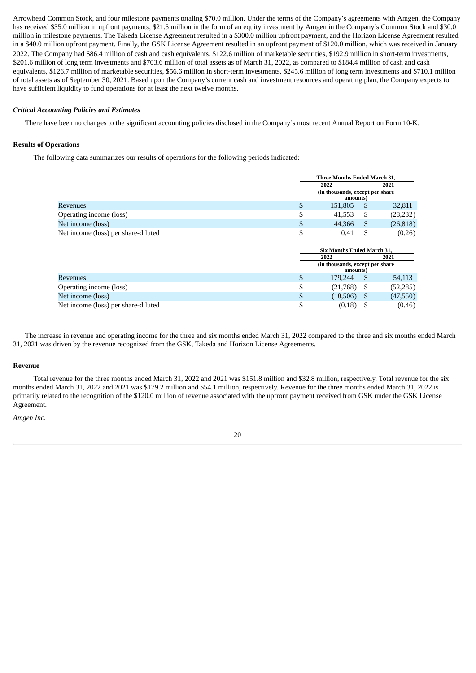Arrowhead Common Stock, and four milestone payments totaling \$70.0 million. Under the terms of the Company's agreements with Amgen, the Company has received \$35.0 million in upfront payments, \$21.5 million in the form of an equity investment by Amgen in the Company's Common Stock and \$30.0 million in milestone payments. The Takeda License Agreement resulted in a \$300.0 million upfront payment, and the Horizon License Agreement resulted in a \$40.0 million upfront payment. Finally, the GSK License Agreement resulted in an upfront payment of \$120.0 million, which was received in January 2022. The Company had \$86.4 million of cash and cash equivalents, \$122.6 million of marketable securities, \$192.9 million in short-term investments, \$201.6 million of long term investments and \$703.6 million of total assets as of March 31, 2022, as compared to \$184.4 million of cash and cash equivalents, \$126.7 million of marketable securities, \$56.6 million in short-term investments, \$245.6 million of long term investments and \$710.1 million of total assets as of September 30, 2021. Based upon the Company's current cash and investment resources and operating plan, the Company expects to have sufficient liquidity to fund operations for at least the next twelve months.

## *Critical Accounting Policies and Estimates*

There have been no changes to the significant accounting policies disclosed in the Company's most recent Annual Report on Form 10-K.

#### **Results of Operations**

The following data summarizes our results of operations for the following periods indicated:

|                                     | Three Months Ended March 31,                |      |           |  |  |
|-------------------------------------|---------------------------------------------|------|-----------|--|--|
|                                     | 2022                                        |      | 2021      |  |  |
|                                     | (in thousands, except per share<br>amounts) |      |           |  |  |
| Revenues                            | \$<br>151,805                               | S    | 32,811    |  |  |
| Operating income (loss)             | \$<br>41,553                                | \$   | (28, 232) |  |  |
| Net income (loss)                   | \$<br>44,366                                | \$   | (26, 818) |  |  |
| Net income (loss) per share-diluted | \$<br>0.41                                  | \$   | (0.26)    |  |  |
|                                     | <b>Six Months Ended March 31,</b>           |      |           |  |  |
|                                     | 2022                                        |      | 2021      |  |  |
|                                     | (in thousands, except per share<br>amounts) |      |           |  |  |
| Revenues                            | \$<br>179,244                               | \$.  | 54,113    |  |  |
| Operating income (loss)             | \$<br>(21,768)                              | -\$  | (52, 285) |  |  |
| Net income (loss)                   | \$<br>(18,506)                              | - \$ | (47,550)  |  |  |
| Net income (loss) per share-diluted | \$<br>(0.18)                                | - \$ | (0.46)    |  |  |
|                                     |                                             |      |           |  |  |

The increase in revenue and operating income for the three and six months ended March 31, 2022 compared to the three and six months ended March 31, 2021 was driven by the revenue recognized from the GSK, Takeda and Horizon License Agreements.

### **Revenue**

Total revenue for the three months ended March 31, 2022 and 2021 was \$151.8 million and \$32.8 million, respectively. Total revenue for the six months ended March 31, 2022 and 2021 was \$179.2 million and \$54.1 million, respectively. Revenue for the three months ended March 31, 2022 is primarily related to the recognition of the \$120.0 million of revenue associated with the upfront payment received from GSK under the GSK License Agreement.

*Amgen Inc.*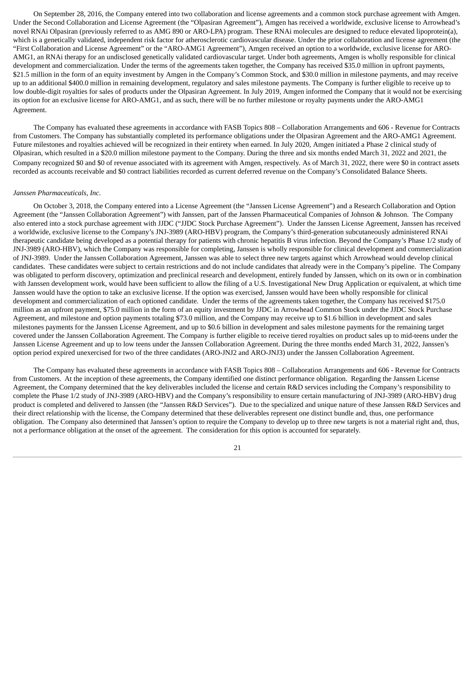On September 28, 2016, the Company entered into two collaboration and license agreements and a common stock purchase agreement with Amgen. Under the Second Collaboration and License Agreement (the "Olpasiran Agreement"), Amgen has received a worldwide, exclusive license to Arrowhead's novel RNAi Olpasiran (previously referred to as AMG 890 or ARO-LPA) program. These RNAi molecules are designed to reduce elevated lipoprotein(a), which is a genetically validated, independent risk factor for atherosclerotic cardiovascular disease. Under the prior collaboration and license agreement (the "First Collaboration and License Agreement" or the "ARO-AMG1 Agreement"), Amgen received an option to a worldwide, exclusive license for ARO-AMG1, an RNAi therapy for an undisclosed genetically validated cardiovascular target. Under both agreements, Amgen is wholly responsible for clinical development and commercialization. Under the terms of the agreements taken together, the Company has received \$35.0 million in upfront payments, \$21.5 million in the form of an equity investment by Amgen in the Company's Common Stock, and \$30.0 million in milestone payments, and may receive up to an additional \$400.0 million in remaining development, regulatory and sales milestone payments. The Company is further eligible to receive up to low double-digit royalties for sales of products under the Olpasiran Agreement. In July 2019, Amgen informed the Company that it would not be exercising its option for an exclusive license for ARO-AMG1, and as such, there will be no further milestone or royalty payments under the ARO-AMG1 Agreement.

The Company has evaluated these agreements in accordance with FASB Topics 808 – Collaboration Arrangements and 606 - Revenue for Contracts from Customers. The Company has substantially completed its performance obligations under the Olpasiran Agreement and the ARO-AMG1 Agreement. Future milestones and royalties achieved will be recognized in their entirety when earned. In July 2020, Amgen initiated a Phase 2 clinical study of Olpasiran, which resulted in a \$20.0 million milestone payment to the Company. During the three and six months ended March 31, 2022 and 2021, the Company recognized \$0 and \$0 of revenue associated with its agreement with Amgen, respectively. As of March 31, 2022, there were \$0 in contract assets recorded as accounts receivable and \$0 contract liabilities recorded as current deferred revenue on the Company's Consolidated Balance Sheets.

#### *Janssen Pharmaceuticals, Inc.*

On October 3, 2018, the Company entered into a License Agreement (the "Janssen License Agreement") and a Research Collaboration and Option Agreement (the "Janssen Collaboration Agreement") with Janssen, part of the Janssen Pharmaceutical Companies of Johnson & Johnson. The Company also entered into a stock purchase agreement with JJDC ("JJDC Stock Purchase Agreement"). Under the Janssen License Agreement, Janssen has received a worldwide, exclusive license to the Company's JNJ-3989 (ARO-HBV) program, the Company's third-generation subcutaneously administered RNAi therapeutic candidate being developed as a potential therapy for patients with chronic hepatitis B virus infection. Beyond the Company's Phase 1/2 study of JNJ-3989 (ARO-HBV), which the Company was responsible for completing, Janssen is wholly responsible for clinical development and commercialization of JNJ-3989. Under the Janssen Collaboration Agreement, Janssen was able to select three new targets against which Arrowhead would develop clinical candidates. These candidates were subject to certain restrictions and do not include candidates that already were in the Company's pipeline. The Company was obligated to perform discovery, optimization and preclinical research and development, entirely funded by Janssen, which on its own or in combination with Janssen development work, would have been sufficient to allow the filing of a U.S. Investigational New Drug Application or equivalent, at which time Janssen would have the option to take an exclusive license. If the option was exercised, Janssen would have been wholly responsible for clinical development and commercialization of each optioned candidate. Under the terms of the agreements taken together, the Company has received \$175.0 million as an upfront payment, \$75.0 million in the form of an equity investment by JJDC in Arrowhead Common Stock under the JJDC Stock Purchase Agreement, and milestone and option payments totaling \$73.0 million, and the Company may receive up to \$1.6 billion in development and sales milestones payments for the Janssen License Agreement, and up to \$0.6 billion in development and sales milestone payments for the remaining target covered under the Janssen Collaboration Agreement. The Company is further eligible to receive tiered royalties on product sales up to mid-teens under the Janssen License Agreement and up to low teens under the Janssen Collaboration Agreement. During the three months ended March 31, 2022, Janssen's option period expired unexercised for two of the three candidates (ARO-JNJ2 and ARO-JNJ3) under the Janssen Collaboration Agreement.

The Company has evaluated these agreements in accordance with FASB Topics 808 – Collaboration Arrangements and 606 - Revenue for Contracts from Customers. At the inception of these agreements, the Company identified one distinct performance obligation. Regarding the Janssen License Agreement, the Company determined that the key deliverables included the license and certain R&D services including the Company's responsibility to complete the Phase 1/2 study of JNJ-3989 (ARO-HBV) and the Company's responsibility to ensure certain manufacturing of JNJ-3989 (ARO-HBV) drug product is completed and delivered to Janssen (the "Janssen R&D Services"). Due to the specialized and unique nature of these Janssen R&D Services and their direct relationship with the license, the Company determined that these deliverables represent one distinct bundle and, thus, one performance obligation. The Company also determined that Janssen's option to require the Company to develop up to three new targets is not a material right and, thus, not a performance obligation at the onset of the agreement. The consideration for this option is accounted for separately.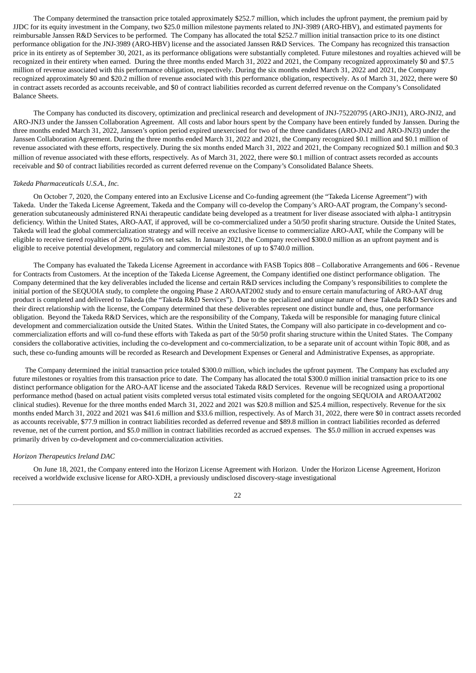The Company determined the transaction price totaled approximately \$252.7 million, which includes the upfront payment, the premium paid by JJDC for its equity investment in the Company, two \$25.0 million milestone payments related to JNJ-3989 (ARO-HBV), and estimated payments for reimbursable Janssen R&D Services to be performed. The Company has allocated the total \$252.7 million initial transaction price to its one distinct performance obligation for the JNJ-3989 (ARO-HBV) license and the associated Janssen R&D Services. The Company has recognized this transaction price in its entirety as of September 30, 2021, as its performance obligations were substantially completed. Future milestones and royalties achieved will be recognized in their entirety when earned. During the three months ended March 31, 2022 and 2021, the Company recognized approximately \$0 and \$7.5 million of revenue associated with this performance obligation, respectively. During the six months ended March 31, 2022 and 2021, the Company recognized approximately \$0 and \$20.2 million of revenue associated with this performance obligation, respectively. As of March 31, 2022, there were \$0 in contract assets recorded as accounts receivable, and \$0 of contract liabilities recorded as current deferred revenue on the Company's Consolidated Balance Sheets.

The Company has conducted its discovery, optimization and preclinical research and development of JNJ-75220795 (ARO-JNJ1), ARO-JNJ2, and ARO-JNJ3 under the Janssen Collaboration Agreement. All costs and labor hours spent by the Company have been entirely funded by Janssen. During the three months ended March 31, 2022, Janssen's option period expired unexercised for two of the three candidates (ARO-JNJ2 and ARO-JNJ3) under the Janssen Collaboration Agreement. During the three months ended March 31, 2022 and 2021, the Company recognized \$0.1 million and \$0.1 million of revenue associated with these efforts, respectively. During the six months ended March 31, 2022 and 2021, the Company recognized \$0.1 million and \$0.3 million of revenue associated with these efforts, respectively. As of March 31, 2022, there were \$0.1 million of contract assets recorded as accounts receivable and \$0 of contract liabilities recorded as current deferred revenue on the Company's Consolidated Balance Sheets.

#### *Takeda Pharmaceuticals U.S.A., Inc.*

On October 7, 2020, the Company entered into an Exclusive License and Co-funding agreement (the "Takeda License Agreement") with Takeda. Under the Takeda License Agreement, Takeda and the Company will co-develop the Company's ARO-AAT program, the Company's secondgeneration subcutaneously administered RNAi therapeutic candidate being developed as a treatment for liver disease associated with alpha-1 antitrypsin deficiency. Within the United States, ARO-AAT, if approved, will be co-commercialized under a 50/50 profit sharing structure. Outside the United States, Takeda will lead the global commercialization strategy and will receive an exclusive license to commercialize ARO-AAT, while the Company will be eligible to receive tiered royalties of 20% to 25% on net sales. In January 2021, the Company received \$300.0 million as an upfront payment and is eligible to receive potential development, regulatory and commercial milestones of up to \$740.0 million.

The Company has evaluated the Takeda License Agreement in accordance with FASB Topics 808 – Collaborative Arrangements and 606 - Revenue for Contracts from Customers. At the inception of the Takeda License Agreement, the Company identified one distinct performance obligation. The Company determined that the key deliverables included the license and certain R&D services including the Company's responsibilities to complete the initial portion of the SEQUOIA study, to complete the ongoing Phase 2 AROAAT2002 study and to ensure certain manufacturing of ARO-AAT drug product is completed and delivered to Takeda (the "Takeda R&D Services"). Due to the specialized and unique nature of these Takeda R&D Services and their direct relationship with the license, the Company determined that these deliverables represent one distinct bundle and, thus, one performance obligation. Beyond the Takeda R&D Services, which are the responsibility of the Company, Takeda will be responsible for managing future clinical development and commercialization outside the United States. Within the United States, the Company will also participate in co-development and cocommercialization efforts and will co-fund these efforts with Takeda as part of the 50/50 profit sharing structure within the United States. The Company considers the collaborative activities, including the co-development and co-commercialization, to be a separate unit of account within Topic 808, and as such, these co-funding amounts will be recorded as Research and Development Expenses or General and Administrative Expenses, as appropriate.

The Company determined the initial transaction price totaled \$300.0 million, which includes the upfront payment. The Company has excluded any future milestones or royalties from this transaction price to date. The Company has allocated the total \$300.0 million initial transaction price to its one distinct performance obligation for the ARO-AAT license and the associated Takeda R&D Services. Revenue will be recognized using a proportional performance method (based on actual patient visits completed versus total estimated visits completed for the ongoing SEQUOIA and AROAAT2002 clinical studies). Revenue for the three months ended March 31, 2022 and 2021 was \$20.8 million and \$25.4 million, respectively. Revenue for the six months ended March 31, 2022 and 2021 was \$41.6 million and \$33.6 million, respectively. As of March 31, 2022, there were \$0 in contract assets recorded as accounts receivable, \$77.9 million in contract liabilities recorded as deferred revenue and \$89.8 million in contract liabilities recorded as deferred revenue, net of the current portion, and \$5.0 million in contract liabilities recorded as accrued expenses. The \$5.0 million in accrued expenses was primarily driven by co-development and co-commercialization activities.

#### *Horizon Therapeutics Ireland DAC*

On June 18, 2021, the Company entered into the Horizon License Agreement with Horizon. Under the Horizon License Agreement, Horizon received a worldwide exclusive license for ARO-XDH, a previously undisclosed discovery-stage investigational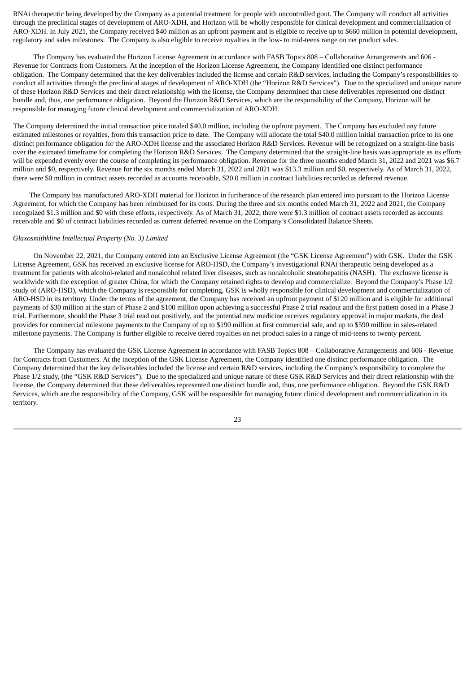RNAi therapeutic being developed by the Company as a potential treatment for people with uncontrolled gout. The Company will conduct all activities through the preclinical stages of development of ARO-XDH, and Horizon will be wholly responsible for clinical development and commercialization of ARO-XDH. In July 2021, the Company received \$40 million as an upfront payment and is eligible to receive up to \$660 million in potential development, regulatory and sales milestones. The Company is also eligible to receive royalties in the low- to mid-teens range on net product sales.

The Company has evaluated the Horizon License Agreement in accordance with FASB Topics 808 – Collaborative Arrangements and 606 - Revenue for Contracts from Customers. At the inception of the Horizon License Agreement, the Company identified one distinct performance obligation. The Company determined that the key deliverables included the license and certain R&D services, including the Company's responsibilities to conduct all activities through the preclinical stages of development of ARO-XDH (the "Horizon R&D Services"). Due to the specialized and unique nature of these Horizon R&D Services and their direct relationship with the license, the Company determined that these deliverables represented one distinct bundle and, thus, one performance obligation. Beyond the Horizon R&D Services, which are the responsibility of the Company, Horizon will be responsible for managing future clinical development and commercialization of ARO-XDH.

The Company determined the initial transaction price totaled \$40.0 million, including the upfront payment. The Company has excluded any future estimated milestones or royalties, from this transaction price to date. The Company will allocate the total \$40.0 million initial transaction price to its one distinct performance obligation for the ARO-XDH license and the associated Horizon R&D Services. Revenue will be recognized on a straight-line basis over the estimated timeframe for completing the Horizon R&D Services. The Company determined that the straight-line basis was appropriate as its efforts will be expended evenly over the course of completing its performance obligation. Revenue for the three months ended March 31, 2022 and 2021 was \$6.7 million and \$0, respectively. Revenue for the six months ended March 31, 2022 and 2021 was \$13.3 million and \$0, respectively. As of March 31, 2022, there were \$0 million in contract assets recorded as accounts receivable, \$20.0 million in contract liabilities recorded as deferred revenue.

The Company has manufactured ARO-XDH material for Horizon in furtherance of the research plan entered into pursuant to the Horizon License Agreement, for which the Company has been reimbursed for its costs. During the three and six months ended March 31, 2022 and 2021, the Company recognized \$1.3 million and \$0 with these efforts, respectively. As of March 31, 2022, there were \$1.3 million of contract assets recorded as accounts receivable and \$0 of contract liabilities recorded as current deferred revenue on the Company's Consolidated Balance Sheets.

#### *Glaxosmithkline Intellectual Property (No. 3) Limited*

On November 22, 2021, the Company entered into an Exclusive License Agreement (the "GSK License Agreement") with GSK. Under the GSK License Agreement, GSK has received an exclusive license for ARO-HSD, the Company's investigational RNAi therapeutic being developed as a treatment for patients with alcohol-related and nonalcohol related liver diseases, such as nonalcoholic steatohepatitis (NASH). The exclusive license is worldwide with the exception of greater China, for which the Company retained rights to develop and commercialize. Beyond the Company's Phase 1/2 study of (ARO-HSD), which the Company is responsible for completing, GSK is wholly responsible for clinical development and commercialization of ARO-HSD in its territory. Under the terms of the agreement, the Company has received an upfront payment of \$120 million and is eligible for additional payments of \$30 million at the start of Phase 2 and \$100 million upon achieving a successful Phase 2 trial readout and the first patient dosed in a Phase 3 trial. Furthermore, should the Phase 3 trial read out positively, and the potential new medicine receives regulatory approval in major markets, the deal provides for commercial milestone payments to the Company of up to \$190 million at first commercial sale, and up to \$590 million in sales-related milestone payments. The Company is further eligible to receive tiered royalties on net product sales in a range of mid-teens to twenty percent.

The Company has evaluated the GSK License Agreement in accordance with FASB Topics 808 – Collaborative Arrangements and 606 - Revenue for Contracts from Customers. At the inception of the GSK License Agreement, the Company identified one distinct performance obligation. The Company determined that the key deliverables included the license and certain R&D services, including the Company's responsibility to complete the Phase 1/2 study, (the "GSK R&D Services"). Due to the specialized and unique nature of these GSK R&D Services and their direct relationship with the license, the Company determined that these deliverables represented one distinct bundle and, thus, one performance obligation. Beyond the GSK R&D Services, which are the responsibility of the Company, GSK will be responsible for managing future clinical development and commercialization in its territory.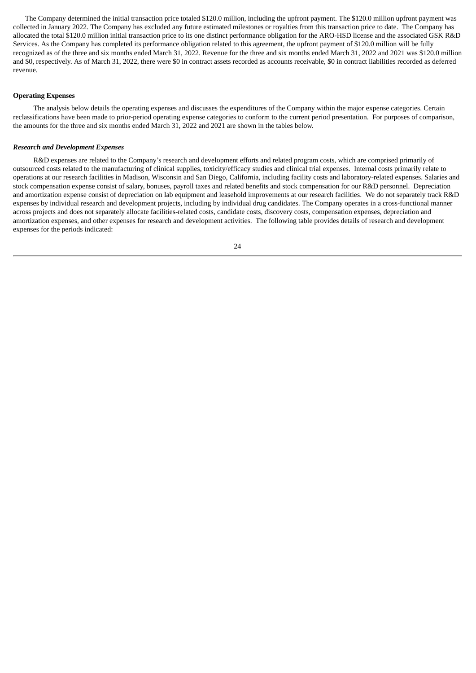The Company determined the initial transaction price totaled \$120.0 million, including the upfront payment. The \$120.0 million upfront payment was collected in January 2022. The Company has excluded any future estimated milestones or royalties from this transaction price to date. The Company has allocated the total \$120.0 million initial transaction price to its one distinct performance obligation for the ARO-HSD license and the associated GSK R&D Services. As the Company has completed its performance obligation related to this agreement, the upfront payment of \$120.0 million will be fully recognized as of the three and six months ended March 31, 2022. Revenue for the three and six months ended March 31, 2022 and 2021 was \$120.0 million and \$0, respectively. As of March 31, 2022, there were \$0 in contract assets recorded as accounts receivable, \$0 in contract liabilities recorded as deferred revenue.

### **Operating Expenses**

The analysis below details the operating expenses and discusses the expenditures of the Company within the major expense categories. Certain reclassifications have been made to prior-period operating expense categories to conform to the current period presentation. For purposes of comparison, the amounts for the three and six months ended March 31, 2022 and 2021 are shown in the tables below.

### *Research and Development Expenses*

R&D expenses are related to the Company's research and development efforts and related program costs, which are comprised primarily of outsourced costs related to the manufacturing of clinical supplies, toxicity/efficacy studies and clinical trial expenses. Internal costs primarily relate to operations at our research facilities in Madison, Wisconsin and San Diego, California, including facility costs and laboratory-related expenses. Salaries and stock compensation expense consist of salary, bonuses, payroll taxes and related benefits and stock compensation for our R&D personnel. Depreciation and amortization expense consist of depreciation on lab equipment and leasehold improvements at our research facilities. We do not separately track R&D expenses by individual research and development projects, including by individual drug candidates. The Company operates in a cross-functional manner across projects and does not separately allocate facilities-related costs, candidate costs, discovery costs, compensation expenses, depreciation and amortization expenses, and other expenses for research and development activities. The following table provides details of research and development expenses for the periods indicated: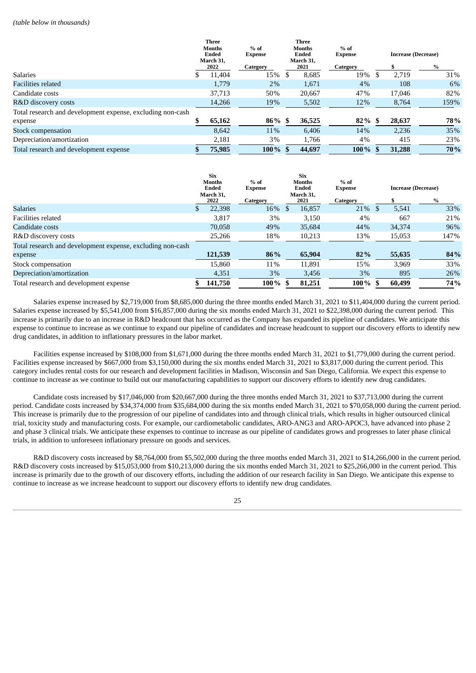### *(table below in thousands)*

|                                                            |    | <b>Three</b><br>$%$ of<br><b>Months</b><br><b>Ended</b><br><b>Expense</b> |           |    | <b>Three</b><br><b>Months</b><br><b>Ended</b> | $%$ of<br><b>Expense</b> |    | <b>Increase (Decrease)</b> |      |  |  |
|------------------------------------------------------------|----|---------------------------------------------------------------------------|-----------|----|-----------------------------------------------|--------------------------|----|----------------------------|------|--|--|
|                                                            |    | March 31.<br>2022                                                         | Category  |    | March 31.<br>2021                             | Category                 |    |                            | $\%$ |  |  |
| <b>Salaries</b>                                            | C  | 11,404                                                                    | 15%       | £. | 8,685                                         | 19%                      | S  | 2,719                      | 31%  |  |  |
| Facilities related                                         |    | 1,779                                                                     | 2%        |    | 1,671                                         | 4%                       |    | 108                        | 6%   |  |  |
| Candidate costs                                            |    | 37,713                                                                    | 50%       |    | 20,667                                        | 47%                      |    | 17,046                     | 82%  |  |  |
| R&D discovery costs                                        |    | 14,266                                                                    | 19%       |    | 5,502                                         | 12%                      |    | 8,764                      | 159% |  |  |
| Total research and development expense, excluding non-cash |    |                                                                           |           |    |                                               |                          |    |                            |      |  |  |
| expense                                                    | \$ | 65,162                                                                    | $86\%$ \$ |    | 36,525                                        | 82%                      | -S | 28,637                     | 78%  |  |  |
| <b>Stock compensation</b>                                  |    | 8,642                                                                     | 11%       |    | 6,406                                         | 14%                      |    | 2,236                      | 35%  |  |  |
| Depreciation/amortization                                  |    | 2,181                                                                     | 3%        |    | 1,766                                         | 4%                       |    | 415                        | 23%  |  |  |
| Total research and development expense                     |    | 75,985                                                                    | 100% \$   |    | 44,697                                        | 100%                     |    | 31,288                     | 70 % |  |  |

|                                                            | <b>Six</b><br><b>Months</b><br>Ended<br>March 31, | $%$ of<br><b>Expense</b> | <b>Six</b><br><b>Months</b><br><b>Ended</b><br>March 31, | $%$ of<br><b>Expense</b> | <b>Increase (Decrease)</b> |      |
|------------------------------------------------------------|---------------------------------------------------|--------------------------|----------------------------------------------------------|--------------------------|----------------------------|------|
|                                                            | 2022                                              | Category                 | 2021                                                     | Category                 |                            | $\%$ |
| <b>Salaries</b>                                            | 22,398<br>S                                       | 16%                      | 16,857<br>\$.                                            | 21\%                     | 5,541<br><sup>\$</sup>     | 33%  |
| Facilities related                                         | 3,817                                             | 3%                       | 3,150                                                    | 4%                       | 667                        | 21%  |
| Candidate costs                                            | 70,058                                            | 49%                      | 35,684                                                   | 44%                      | 34,374                     | 96%  |
| R&D discovery costs                                        | 25,266                                            | 18%                      | 10,213                                                   | 13%                      | 15,053                     | 147% |
| Total research and development expense, excluding non-cash |                                                   |                          |                                                          |                          |                            |      |
| expense                                                    | 121,539                                           | 86%                      | 65,904                                                   | 82%                      | 55,635                     | 84%  |
| Stock compensation                                         | 15,860                                            | 11%                      | 11,891                                                   | 15%                      | 3,969                      | 33%  |
| Depreciation/amortization                                  | 4,351                                             | 3%                       | 3,456                                                    | 3%                       | 895                        | 26%  |
| Total research and development expense                     | 141,750                                           | 100 %                    | 81,251                                                   | 100%                     | 60,499                     | 74%  |

Salaries expense increased by \$2,719,000 from \$8,685,000 during the three months ended March 31, 2021 to \$11,404,000 during the current period. Salaries expense increased by \$5,541,000 from \$16,857,000 during the six months ended March 31, 2021 to \$22,398,000 during the current period. This increase is primarily due to an increase in R&D headcount that has occurred as the Company has expanded its pipeline of candidates. We anticipate this expense to continue to increase as we continue to expand our pipeline of candidates and increase headcount to support our discovery efforts to identify new drug candidates, in addition to inflationary pressures in the labor market.

Facilities expense increased by \$108,000 from \$1,671,000 during the three months ended March 31, 2021 to \$1,779,000 during the current period. Facilities expense increased by \$667,000 from \$3,150,000 during the six months ended March 31, 2021 to \$3,817,000 during the current period. This category includes rental costs for our research and development facilities in Madison, Wisconsin and San Diego, California. We expect this expense to continue to increase as we continue to build out our manufacturing capabilities to support our discovery efforts to identify new drug candidates.

Candidate costs increased by \$17,046,000 from \$20,667,000 during the three months ended March 31, 2021 to \$37,713,000 during the current period. Candidate costs increased by \$34,374,000 from \$35,684,000 during the six months ended March 31, 2021 to \$70,058,000 during the current period. This increase is primarily due to the progression of our pipeline of candidates into and through clinical trials, which results in higher outsourced clinical trial, toxicity study and manufacturing costs. For example, our cardiometabolic candidates, ARO-ANG3 and ARO-APOC3, have advanced into phase 2 and phase 3 clinical trials. We anticipate these expenses to continue to increase as our pipeline of candidates grows and progresses to later phase clinical trials, in addition to unforeseen inflationary pressure on goods and services.

R&D discovery costs increased by \$8,764,000 from \$5,502,000 during the three months ended March 31, 2021 to \$14,266,000 in the current period. R&D discovery costs increased by \$15,053,000 from \$10,213,000 during the six months ended March 31, 2021 to \$25,266,000 in the current period. This increase is primarily due to the growth of our discovery efforts, including the addition of our research facility in San Diego. We anticipate this expense to continue to increase as we increase headcount to support our discovery efforts to identify new drug candidates.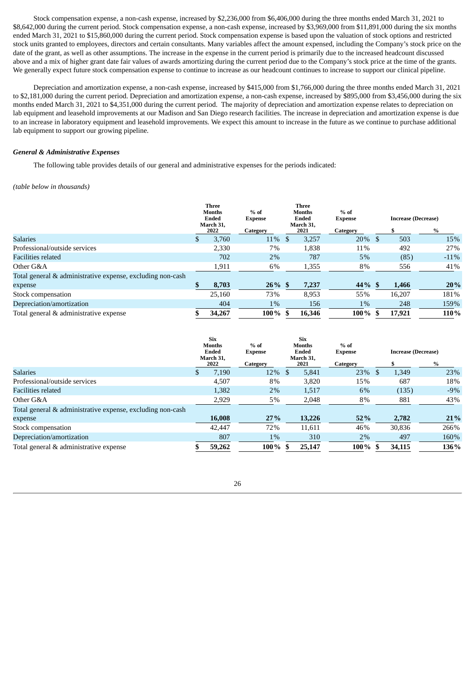Stock compensation expense, a non-cash expense, increased by \$2,236,000 from \$6,406,000 during the three months ended March 31, 2021 to \$8,642,000 during the current period. Stock compensation expense, a non-cash expense, increased by \$3,969,000 from \$11,891,000 during the six months ended March 31, 2021 to \$15,860,000 during the current period. Stock compensation expense is based upon the valuation of stock options and restricted stock units granted to employees, directors and certain consultants. Many variables affect the amount expensed, including the Company's stock price on the date of the grant, as well as other assumptions. The increase in the expense in the current period is primarily due to the increased headcount discussed above and a mix of higher grant date fair values of awards amortizing during the current period due to the Company's stock price at the time of the grants. We generally expect future stock compensation expense to continue to increase as our headcount continues to increase to support our clinical pipeline.

Depreciation and amortization expense, a non-cash expense, increased by \$415,000 from \$1,766,000 during the three months ended March 31, 2021 to \$2,181,000 during the current period. Depreciation and amortization expense, a non-cash expense, increased by \$895,000 from \$3,456,000 during the six months ended March 31, 2021 to \$4,351,000 during the current period. The majority of depreciation and amortization expense relates to depreciation on lab equipment and leasehold improvements at our Madison and San Diego research facilities. The increase in depreciation and amortization expense is due to an increase in laboratory equipment and leasehold improvements. We expect this amount to increase in the future as we continue to purchase additional lab equipment to support our growing pipeline.

### *General & Administrative Expenses*

The following table provides details of our general and administrative expenses for the periods indicated:

*(table below in thousands)*

|                                                            | <b>Three</b><br><b>Months</b><br><b>Ended</b><br>March 31, |        | $%$ of<br><b>Expense</b> | <b>Three</b><br><b>Months</b><br><b>Ended</b><br>March 31, |        | $%$ of<br><b>Expense</b> | <b>Increase (Decrease)</b> |        |
|------------------------------------------------------------|------------------------------------------------------------|--------|--------------------------|------------------------------------------------------------|--------|--------------------------|----------------------------|--------|
|                                                            |                                                            | 2022   | Category                 |                                                            | 2021   | Category                 |                            | $\%$   |
| <b>Salaries</b>                                            | Ф                                                          | 3,760  | 11%                      | -S                                                         | 3,257  | $20\%$ \$                | 503                        | 15%    |
| Professional/outside services                              |                                                            | 2,330  | 7%                       |                                                            | 1,838  | 11%                      | 492                        | 27%    |
| Facilities related                                         |                                                            | 702    | 2%                       |                                                            | 787    | 5%                       | (85)                       | $-11%$ |
| Other G&A                                                  |                                                            | 1,911  | 6%                       |                                                            | 1,355  | 8%                       | 556                        | 41%    |
| Total general & administrative expense, excluding non-cash |                                                            |        |                          |                                                            |        |                          |                            |        |
| expense                                                    | \$                                                         | 8,703  | $26\%$ \$                |                                                            | 7,237  | $44\%$ \$                | 1,466                      | 20%    |
| Stock compensation                                         |                                                            | 25,160 | 73%                      |                                                            | 8,953  | 55%                      | 16,207                     | 181%   |
| Depreciation/amortization                                  |                                                            | 404    | $1\%$                    |                                                            | 156    | 1%                       | 248                        | 159%   |
| Total general & administrative expense                     |                                                            | 34,267 | 100% \$                  |                                                            | 16,346 | 100 %                    | 17,921                     | 110 %  |

|                                                            | <b>Six</b><br><b>Months</b><br><b>Ended</b><br>March 31, |        |          |    | $%$ of<br><b>Expense</b> |          | <b>Six</b><br><b>Months</b><br><b>Ended</b><br>March 31, | $%$ of<br>Expense |       |  | <b>Increase (Decrease)</b> |
|------------------------------------------------------------|----------------------------------------------------------|--------|----------|----|--------------------------|----------|----------------------------------------------------------|-------------------|-------|--|----------------------------|
|                                                            | 2022                                                     |        | Category |    | 2021                     | Category |                                                          |                   | $\%$  |  |                            |
| <b>Salaries</b>                                            | ъ                                                        | 7,190  | 12%      | -S | 5,841                    |          | 23%                                                      | 1,349<br>S        | 23%   |  |                            |
| Professional/outside services                              |                                                          | 4,507  | 8%       |    | 3,820                    | 15%      |                                                          | 687               | 18%   |  |                            |
| Facilities related                                         |                                                          | 1,382  | 2%       |    | 1,517                    |          | 6%                                                       | (135)             | $-9%$ |  |                            |
| Other G&A                                                  |                                                          | 2,929  | 5%       |    | 2,048                    |          | 8%                                                       | 881               | 43%   |  |                            |
| Total general & administrative expense, excluding non-cash |                                                          |        |          |    |                          |          |                                                          |                   |       |  |                            |
| expense                                                    |                                                          | 16,008 | 27%      |    | 13,226                   | 52%      |                                                          | 2,782             | 21%   |  |                            |
| Stock compensation                                         |                                                          | 42,447 | 72%      |    | 11,611                   | 46%      |                                                          | 30,836            | 266%  |  |                            |
| Depreciation/amortization                                  |                                                          | 807    | $1\%$    |    | 310                      |          | 2%                                                       | 497               | 160%  |  |                            |
| Total general & administrative expense                     |                                                          | 59,262 | 100%     |    | 25,147                   | 100%     |                                                          | 34,115            | 136%  |  |                            |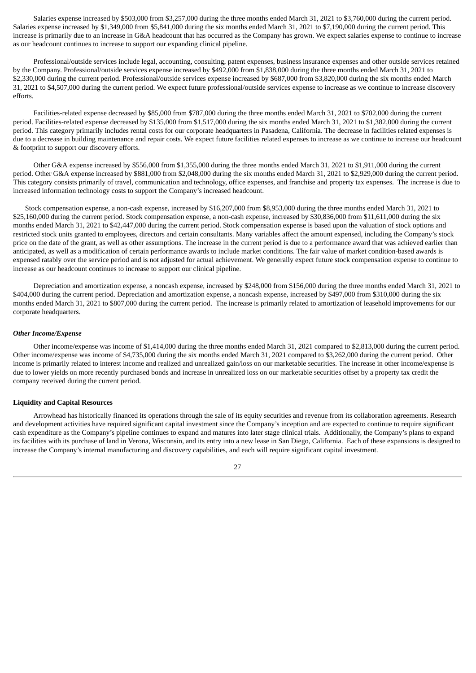Salaries expense increased by \$503,000 from \$3,257,000 during the three months ended March 31, 2021 to \$3,760,000 during the current period. Salaries expense increased by \$1,349,000 from \$5,841,000 during the six months ended March 31, 2021 to \$7,190,000 during the current period. This increase is primarily due to an increase in G&A headcount that has occurred as the Company has grown. We expect salaries expense to continue to increase as our headcount continues to increase to support our expanding clinical pipeline.

Professional/outside services include legal, accounting, consulting, patent expenses, business insurance expenses and other outside services retained by the Company. Professional/outside services expense increased by \$492,000 from \$1,838,000 during the three months ended March 31, 2021 to \$2,330,000 during the current period. Professional/outside services expense increased by \$687,000 from \$3,820,000 during the six months ended March 31, 2021 to \$4,507,000 during the current period. We expect future professional/outside services expense to increase as we continue to increase discovery efforts.

Facilities-related expense decreased by \$85,000 from \$787,000 during the three months ended March 31, 2021 to \$702,000 during the current period. Facilities-related expense decreased by \$135,000 from \$1,517,000 during the six months ended March 31, 2021 to \$1,382,000 during the current period. This category primarily includes rental costs for our corporate headquarters in Pasadena, California. The decrease in facilities related expenses is due to a decrease in building maintenance and repair costs. We expect future facilities related expenses to increase as we continue to increase our headcount & footprint to support our discovery efforts.

Other G&A expense increased by \$556,000 from \$1,355,000 during the three months ended March 31, 2021 to \$1,911,000 during the current period. Other G&A expense increased by \$881,000 from \$2,048,000 during the six months ended March 31, 2021 to \$2,929,000 during the current period. This category consists primarily of travel, communication and technology, office expenses, and franchise and property tax expenses. The increase is due to increased information technology costs to support the Company's increased headcount.

Stock compensation expense, a non-cash expense, increased by \$16,207,000 from \$8,953,000 during the three months ended March 31, 2021 to \$25,160,000 during the current period. Stock compensation expense, a non-cash expense, increased by \$30,836,000 from \$11,611,000 during the six months ended March 31, 2021 to \$42,447,000 during the current period. Stock compensation expense is based upon the valuation of stock options and restricted stock units granted to employees, directors and certain consultants. Many variables affect the amount expensed, including the Company's stock price on the date of the grant, as well as other assumptions. The increase in the current period is due to a performance award that was achieved earlier than anticipated, as well as a modification of certain performance awards to include market conditions. The fair value of market condition-based awards is expensed ratably over the service period and is not adjusted for actual achievement. We generally expect future stock compensation expense to continue to increase as our headcount continues to increase to support our clinical pipeline.

Depreciation and amortization expense, a noncash expense, increased by \$248,000 from \$156,000 during the three months ended March 31, 2021 to \$404,000 during the current period. Depreciation and amortization expense, a noncash expense, increased by \$497,000 from \$310,000 during the six months ended March 31, 2021 to \$807,000 during the current period. The increase is primarily related to amortization of leasehold improvements for our corporate headquarters.

#### *Other Income/Expense*

Other income/expense was income of \$1,414,000 during the three months ended March 31, 2021 compared to \$2,813,000 during the current period. Other income/expense was income of \$4,735,000 during the six months ended March 31, 2021 compared to \$3,262,000 during the current period. Other income is primarily related to interest income and realized and unrealized gain/loss on our marketable securities. The increase in other income/expense is due to lower yields on more recently purchased bonds and increase in unrealized loss on our marketable securities offset by a property tax credit the company received during the current period.

#### **Liquidity and Capital Resources**

Arrowhead has historically financed its operations through the sale of its equity securities and revenue from its collaboration agreements. Research and development activities have required significant capital investment since the Company's inception and are expected to continue to require significant cash expenditure as the Company's pipeline continues to expand and matures into later stage clinical trials. Additionally, the Company's plans to expand its facilities with its purchase of land in Verona, Wisconsin, and its entry into a new lease in San Diego, California. Each of these expansions is designed to increase the Company's internal manufacturing and discovery capabilities, and each will require significant capital investment.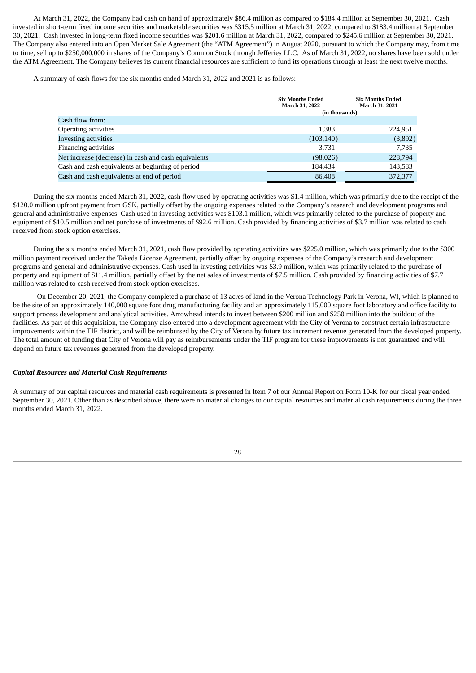At March 31, 2022, the Company had cash on hand of approximately \$86.4 million as compared to \$184.4 million at September 30, 2021. Cash invested in short-term fixed income securities and marketable securities was \$315.5 million at March 31, 2022, compared to \$183.4 million at September 30, 2021. Cash invested in long-term fixed income securities was \$201.6 million at March 31, 2022, compared to \$245.6 million at September 30, 2021. The Company also entered into an Open Market Sale Agreement (the "ATM Agreement") in August 2020, pursuant to which the Company may, from time to time, sell up to \$250,000,000 in shares of the Company's Common Stock through Jefferies LLC. As of March 31, 2022, no shares have been sold under the ATM Agreement. The Company believes its current financial resources are sufficient to fund its operations through at least the next twelve months.

A summary of cash flows for the six months ended March 31, 2022 and 2021 is as follows:

|                                                      | <b>Six Months Ended</b><br>March 31, 2022 | <b>Six Months Ended</b><br><b>March 31, 2021</b> |
|------------------------------------------------------|-------------------------------------------|--------------------------------------------------|
|                                                      |                                           | (in thousands)                                   |
| Cash flow from:                                      |                                           |                                                  |
| Operating activities                                 | 1,383                                     | 224,951                                          |
| <b>Investing activities</b>                          | (103, 140)                                | (3,892)                                          |
| <b>Financing activities</b>                          | 3,731                                     | 7,735                                            |
| Net increase (decrease) in cash and cash equivalents | (98,026)                                  | 228,794                                          |
| Cash and cash equivalents at beginning of period     | 184,434                                   | 143,583                                          |
| Cash and cash equivalents at end of period           | 86,408                                    | 372,377                                          |

During the six months ended March 31, 2022, cash flow used by operating activities was \$1.4 million, which was primarily due to the receipt of the \$120.0 million upfront payment from GSK, partially offset by the ongoing expenses related to the Company's research and development programs and general and administrative expenses. Cash used in investing activities was \$103.1 million, which was primarily related to the purchase of property and equipment of \$10.5 million and net purchase of investments of \$92.6 million. Cash provided by financing activities of \$3.7 million was related to cash received from stock option exercises.

During the six months ended March 31, 2021, cash flow provided by operating activities was \$225.0 million, which was primarily due to the \$300 million payment received under the Takeda License Agreement, partially offset by ongoing expenses of the Company's research and development programs and general and administrative expenses. Cash used in investing activities was \$3.9 million, which was primarily related to the purchase of property and equipment of \$11.4 million, partially offset by the net sales of investments of \$7.5 million. Cash provided by financing activities of \$7.7 million was related to cash received from stock option exercises.

On December 20, 2021, the Company completed a purchase of 13 acres of land in the Verona Technology Park in Verona, WI, which is planned to be the site of an approximately 140,000 square foot drug manufacturing facility and an approximately 115,000 square foot laboratory and office facility to support process development and analytical activities. Arrowhead intends to invest between \$200 million and \$250 million into the buildout of the facilities. As part of this acquisition, the Company also entered into a development agreement with the City of Verona to construct certain infrastructure improvements within the TIF district, and will be reimbursed by the City of Verona by future tax increment revenue generated from the developed property. The total amount of funding that City of Verona will pay as reimbursements under the TIF program for these improvements is not guaranteed and will depend on future tax revenues generated from the developed property.

### *Capital Resources and Material Cash Requirements*

A summary of our capital resources and material cash requirements is presented in Item 7 of our Annual Report on Form 10-K for our fiscal year ended September 30, 2021. Other than as described above, there were no material changes to our capital resources and material cash requirements during the three months ended March 31, 2022.

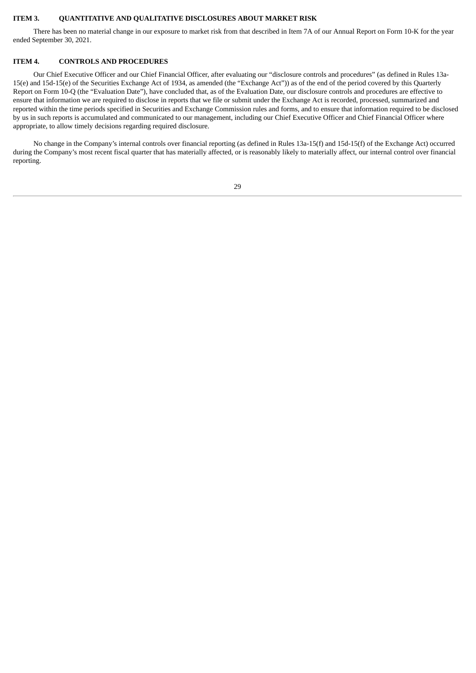# <span id="page-30-0"></span>**ITEM 3. QUANTITATIVE AND QUALITATIVE DISCLOSURES ABOUT MARKET RISK**

There has been no material change in our exposure to market risk from that described in Item 7A of our Annual Report on Form 10-K for the year ended September 30, 2021.

### <span id="page-30-1"></span>**ITEM 4. CONTROLS AND PROCEDURES**

Our Chief Executive Officer and our Chief Financial Officer, after evaluating our "disclosure controls and procedures" (as defined in Rules 13a-15(e) and 15d-15(e) of the Securities Exchange Act of 1934, as amended (the "Exchange Act")) as of the end of the period covered by this Quarterly Report on Form 10-Q (the "Evaluation Date"), have concluded that, as of the Evaluation Date, our disclosure controls and procedures are effective to ensure that information we are required to disclose in reports that we file or submit under the Exchange Act is recorded, processed, summarized and reported within the time periods specified in Securities and Exchange Commission rules and forms, and to ensure that information required to be disclosed by us in such reports is accumulated and communicated to our management, including our Chief Executive Officer and Chief Financial Officer where appropriate, to allow timely decisions regarding required disclosure.

No change in the Company's internal controls over financial reporting (as defined in Rules 13a-15(f) and 15d-15(f) of the Exchange Act) occurred during the Company's most recent fiscal quarter that has materially affected, or is reasonably likely to materially affect, our internal control over financial reporting.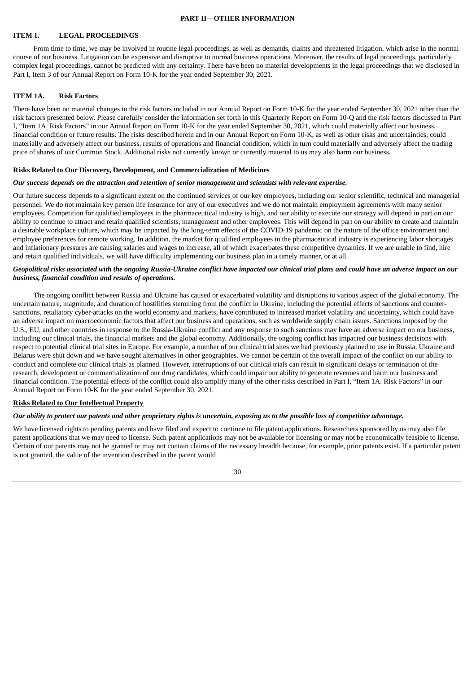#### **PART II—OTHER INFORMATION**

#### <span id="page-31-1"></span><span id="page-31-0"></span>**ITEM 1. LEGAL PROCEEDINGS**

From time to time, we may be involved in routine legal proceedings, as well as demands, claims and threatened litigation, which arise in the normal course of our business. Litigation can be expensive and disruptive to normal business operations. Moreover, the results of legal proceedings, particularly complex legal proceedings, cannot be predicted with any certainty. There have been no material developments in the legal proceedings that we disclosed in Part I, Item 3 of our Annual Report on Form 10-K for the year ended September 30, 2021.

#### <span id="page-31-2"></span>**ITEM 1A. Risk Factors**

There have been no material changes to the risk factors included in our Annual Report on Form 10-K for the year ended September 30, 2021 other than the risk factors presented below. Please carefully consider the information set forth in this Quarterly Report on Form 10-Q and the risk factors discussed in Part I, "Item 1A. Risk Factors" in our Annual Report on Form 10-K for the year ended September 30, 2021, which could materially affect our business, financial condition or future results. The risks described herein and in our Annual Report on Form 10-K, as well as other risks and uncertainties, could materially and adversely affect our business, results of operations and financial condition, which in turn could materially and adversely affect the trading price of shares of our Common Stock. Additional risks not currently known or currently material to us may also harm our business.

### **Risks Related to Our Discovery, Development, and Commercialization of Medicines**

#### *Our success depends on the attraction and retention of senior management and scientists with relevant expertise.*

Our future success depends to a significant extent on the continued services of our key employees, including our senior scientific, technical and managerial personnel. We do not maintain key person life insurance for any of our executives and we do not maintain employment agreements with many senior employees. Competition for qualified employees in the pharmaceutical industry is high, and our ability to execute our strategy will depend in part on our ability to continue to attract and retain qualified scientists, management and other employees. This will depend in part on our ability to create and maintain a desirable workplace culture, which may be impacted by the long-term effects of the COVID-19 pandemic on the nature of the office environment and employee preferences for remote working. In addition, the market for qualified employees in the pharmaceutical industry is experiencing labor shortages and inflationary pressures are causing salaries and wages to increase, all of which exacerbates these competitive dynamics. If we are unable to find, hire and retain qualified individuals, we will have difficulty implementing our business plan in a timely manner, or at all.

### Geopolitical risks associated with the ongoing Russia-Ukraine conflict have impacted our clinical trial plans and could have an adverse impact on our *business, financial condition and results of operations.*

The ongoing conflict between Russia and Ukraine has caused or exacerbated volatility and disruptions to various aspect of the global economy. The uncertain nature, magnitude, and duration of hostilities stemming from the conflict in Ukraine, including the potential effects of sanctions and countersanctions, retaliatory cyber-attacks on the world economy and markets, have contributed to increased market volatility and uncertainty, which could have an adverse impact on macroeconomic factors that affect our business and operations, such as worldwide supply chain issues. Sanctions imposed by the U.S., EU, and other countries in response to the Russia-Ukraine conflict and any response to such sanctions may have an adverse impact on our business, including our clinical trials, the financial markets and the global economy. Additionally, the ongoing conflict has impacted our business decisions with respect to potential clinical trial sites in Europe. For example, a number of our clinical trial sites we had previously planned to use in Russia, Ukraine and Belarus were shut down and we have sought alternatives in other geographies. We cannot be certain of the overall impact of the conflict on our ability to conduct and complete our clinical trials as planned. However, interruptions of our clinical trials can result in significant delays or termination of the research, development or commercialization of our drug candidates, which could impair our ability to generate revenues and harm our business and financial condition. The potential effects of the conflict could also amplify many of the other risks described in Part I, "Item 1A. Risk Factors" in our Annual Report on Form 10-K for the year ended September 30, 2021.

## **Risks Related to Our Intellectual Property**

#### Our ability to protect our patents and other proprietary rights is uncertain, exposing us to the possible loss of competitive advantage.

We have licensed rights to pending patents and have filed and expect to continue to file patent applications. Researchers sponsored by us may also file patent applications that we may need to license. Such patent applications may not be available for licensing or may not be economically feasible to license. Certain of our patents may not be granted or may not contain claims of the necessary breadth because, for example, prior patents exist. If a particular patent is not granted, the value of the invention described in the patent would

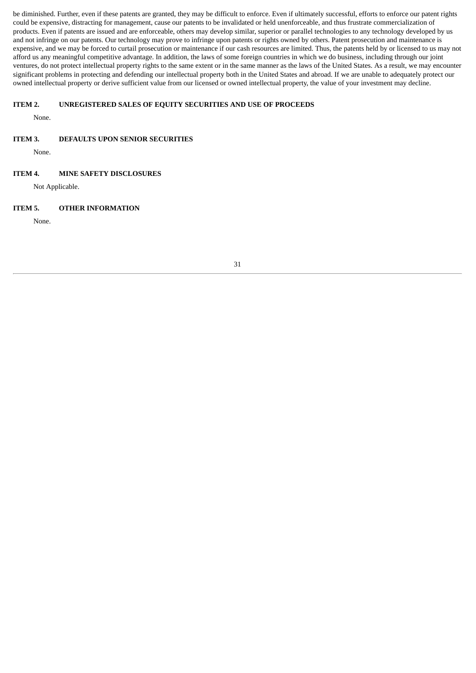be diminished. Further, even if these patents are granted, they may be difficult to enforce. Even if ultimately successful, efforts to enforce our patent rights could be expensive, distracting for management, cause our patents to be invalidated or held unenforceable, and thus frustrate commercialization of products. Even if patents are issued and are enforceable, others may develop similar, superior or parallel technologies to any technology developed by us and not infringe on our patents. Our technology may prove to infringe upon patents or rights owned by others. Patent prosecution and maintenance is expensive, and we may be forced to curtail prosecution or maintenance if our cash resources are limited. Thus, the patents held by or licensed to us may not afford us any meaningful competitive advantage. In addition, the laws of some foreign countries in which we do business, including through our joint ventures, do not protect intellectual property rights to the same extent or in the same manner as the laws of the United States. As a result, we may encounter significant problems in protecting and defending our intellectual property both in the United States and abroad. If we are unable to adequately protect our owned intellectual property or derive sufficient value from our licensed or owned intellectual property, the value of your investment may decline.

## **ITEM 2. UNREGISTERED SALES OF EQUITY SECURITIES AND USE OF PROCEEDS**

<span id="page-32-0"></span>None.

### **ITEM 3. DEFAULTS UPON SENIOR SECURITIES**

<span id="page-32-1"></span>None.

## **ITEM 4. MINE SAFETY DISCLOSURES**

<span id="page-32-2"></span>Not Applicable.

### **ITEM 5. OTHER INFORMATION**

<span id="page-32-3"></span>None.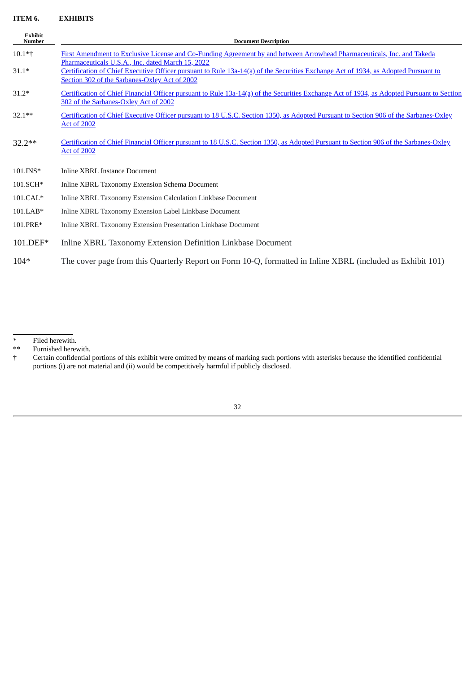<span id="page-33-0"></span>

| <b>EXHIBITS</b><br>ITEM 6. |
|----------------------------|
|----------------------------|

| <b>Exhibit</b><br><b>Number</b> | <b>Document Description</b>                                                                                                                                                                                                              |
|---------------------------------|------------------------------------------------------------------------------------------------------------------------------------------------------------------------------------------------------------------------------------------|
| $10.1*$ †                       | First Amendment to Exclusive License and Co-Funding Agreement by and between Arrowhead Pharmaceuticals, Inc. and Takeda                                                                                                                  |
| $31.1*$                         | Pharmaceuticals U.S.A., Inc. dated March 15, 2022<br>Certification of Chief Executive Officer pursuant to Rule 13a-14(a) of the Securities Exchange Act of 1934, as Adopted Pursuant to<br>Section 302 of the Sarbanes-Oxley Act of 2002 |
| $31.2*$                         | Certification of Chief Financial Officer pursuant to Rule 13a-14(a) of the Securities Exchange Act of 1934, as Adopted Pursuant to Section<br>302 of the Sarbanes-Oxley Act of 2002                                                      |
| $32.1***$                       | Certification of Chief Executive Officer pursuant to 18 U.S.C. Section 1350, as Adopted Pursuant to Section 906 of the Sarbanes-Oxley<br><b>Act of 2002</b>                                                                              |
| $32.2**$                        | Certification of Chief Financial Officer pursuant to 18 U.S.C. Section 1350, as Adopted Pursuant to Section 906 of the Sarbanes-Oxley<br><b>Act of 2002</b>                                                                              |
| 101.INS*                        | <b>Inline XBRL Instance Document</b>                                                                                                                                                                                                     |
| 101.SCH*                        | Inline XBRL Taxonomy Extension Schema Document                                                                                                                                                                                           |
| $101.CAL*$                      | Inline XBRL Taxonomy Extension Calculation Linkbase Document                                                                                                                                                                             |
| $101.LAB*$                      | Inline XBRL Taxonomy Extension Label Linkbase Document                                                                                                                                                                                   |
| 101.PRE*                        | Inline XBRL Taxonomy Extension Presentation Linkbase Document                                                                                                                                                                            |
| 101.DEF*                        | Inline XBRL Taxonomy Extension Definition Linkbase Document                                                                                                                                                                              |
| $104*$                          | The cover page from this Quarterly Report on Form 10-Q, formatted in Inline XBRL (included as Exhibit 101)                                                                                                                               |

<sup>\*</sup> Filed herewith.

Furnished herewith.

<sup>†</sup> Certain confidential portions of this exhibit were omitted by means of marking such portions with asterisks because the identified confidential portions (i) are not material and (ii) would be competitively harmful if publicly disclosed.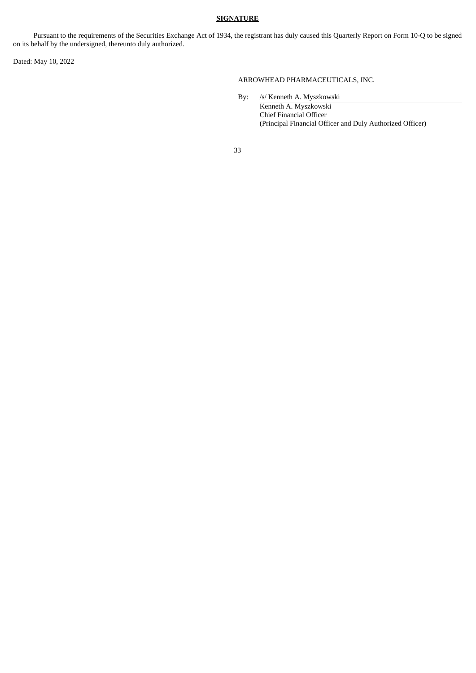# **SIGNATURE**

<span id="page-34-0"></span>Pursuant to the requirements of the Securities Exchange Act of 1934, the registrant has duly caused this Quarterly Report on Form 10-Q to be signed on its behalf by the undersigned, thereunto duly authorized.

Dated: May 10, 2022

# ARROWHEAD PHARMACEUTICALS, INC.

By: /s/ Kenneth A. Myszkowski Kenneth A. Myszkowski Chief Financial Officer (Principal Financial Officer and Duly Authorized Officer)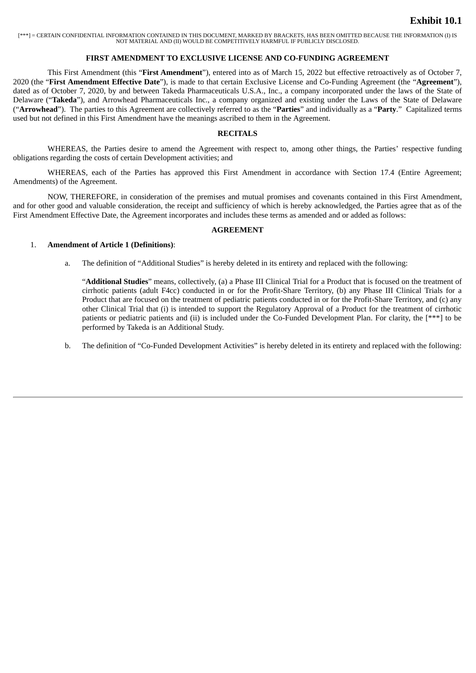<span id="page-35-0"></span>[\*\*\*] = CERTAIN CONFIDENTIAL INFORMATION CONTAINED IN THIS DOCUMENT, MARKED BY BRACKETS, HAS BEEN OMITTED BECAUSE THE INFORMATION (I) IS NOT MATERIAL AND (II) WOULD BE COMPETITIVELY HARMFUL IF PUBLICLY DISCLOSED.

# **FIRST AMENDMENT TO EXCLUSIVE LICENSE AND CO-FUNDING AGREEMENT**

This First Amendment (this "**First Amendment**"), entered into as of March 15, 2022 but effective retroactively as of October 7, 2020 (the "**First Amendment Effective Date**"), is made to that certain Exclusive License and Co-Funding Agreement (the "**Agreement**"), dated as of October 7, 2020, by and between Takeda Pharmaceuticals U.S.A., Inc., a company incorporated under the laws of the State of Delaware ("**Takeda**"), and Arrowhead Pharmaceuticals Inc., a company organized and existing under the Laws of the State of Delaware ("**Arrowhead**"). The parties to this Agreement are collectively referred to as the "**Parties**" and individually as a "**Party**." Capitalized terms used but not defined in this First Amendment have the meanings ascribed to them in the Agreement.

# **RECITALS**

WHEREAS, the Parties desire to amend the Agreement with respect to, among other things, the Parties' respective funding obligations regarding the costs of certain Development activities; and

WHEREAS, each of the Parties has approved this First Amendment in accordance with Section 17.4 (Entire Agreement; Amendments) of the Agreement.

NOW, THEREFORE, in consideration of the premises and mutual promises and covenants contained in this First Amendment, and for other good and valuable consideration, the receipt and sufficiency of which is hereby acknowledged, the Parties agree that as of the First Amendment Effective Date, the Agreement incorporates and includes these terms as amended and or added as follows:

## **AGREEMENT**

### 1. **Amendment of Article 1 (Definitions)**:

a. The definition of "Additional Studies" is hereby deleted in its entirety and replaced with the following:

"**Additional Studies**" means, collectively, (a) a Phase III Clinical Trial for a Product that is focused on the treatment of cirrhotic patients (adult F4cc) conducted in or for the Profit-Share Territory, (b) any Phase III Clinical Trials for a Product that are focused on the treatment of pediatric patients conducted in or for the Profit-Share Territory, and (c) any other Clinical Trial that (i) is intended to support the Regulatory Approval of a Product for the treatment of cirrhotic patients or pediatric patients and (ii) is included under the Co-Funded Development Plan. For clarity, the [\*\*\*] to be performed by Takeda is an Additional Study.

b. The definition of "Co-Funded Development Activities" is hereby deleted in its entirety and replaced with the following: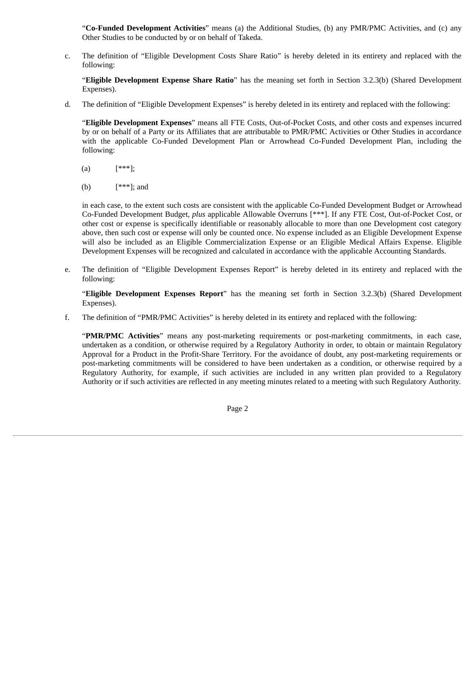"**Co-Funded Development Activities**" means (a) the Additional Studies, (b) any PMR/PMC Activities, and (c) any Other Studies to be conducted by or on behalf of Takeda.

c. The definition of "Eligible Development Costs Share Ratio" is hereby deleted in its entirety and replaced with the following:

"**Eligible Development Expense Share Ratio**" has the meaning set forth in Section 3.2.3(b) (Shared Development Expenses).

d. The definition of "Eligible Development Expenses" is hereby deleted in its entirety and replaced with the following:

"**Eligible Development Expenses**" means all FTE Costs, Out-of-Pocket Costs, and other costs and expenses incurred by or on behalf of a Party or its Affiliates that are attributable to PMR/PMC Activities or Other Studies in accordance with the applicable Co-Funded Development Plan or Arrowhead Co-Funded Development Plan, including the following:

- (a) [\*\*\*];
- (b) [\*\*\*]; and

in each case, to the extent such costs are consistent with the applicable Co-Funded Development Budget or Arrowhead Co-Funded Development Budget, *plus* applicable Allowable Overruns [\*\*\*]. If any FTE Cost, Out-of-Pocket Cost, or other cost or expense is specifically identifiable or reasonably allocable to more than one Development cost category above, then such cost or expense will only be counted once. No expense included as an Eligible Development Expense will also be included as an Eligible Commercialization Expense or an Eligible Medical Affairs Expense. Eligible Development Expenses will be recognized and calculated in accordance with the applicable Accounting Standards.

e. The definition of "Eligible Development Expenses Report" is hereby deleted in its entirety and replaced with the following:

"**Eligible Development Expenses Report**" has the meaning set forth in Section 3.2.3(b) (Shared Development Expenses).

f. The definition of "PMR/PMC Activities" is hereby deleted in its entirety and replaced with the following:

"**PMR/PMC Activities**" means any post-marketing requirements or post-marketing commitments, in each case, undertaken as a condition, or otherwise required by a Regulatory Authority in order, to obtain or maintain Regulatory Approval for a Product in the Profit-Share Territory. For the avoidance of doubt, any post-marketing requirements or post-marketing commitments will be considered to have been undertaken as a condition, or otherwise required by a Regulatory Authority, for example, if such activities are included in any written plan provided to a Regulatory Authority or if such activities are reflected in any meeting minutes related to a meeting with such Regulatory Authority.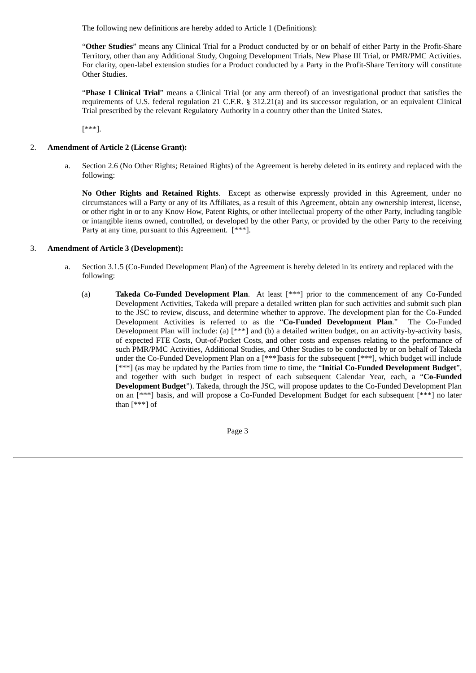The following new definitions are hereby added to Article 1 (Definitions):

"**Other Studies**" means any Clinical Trial for a Product conducted by or on behalf of either Party in the Profit-Share Territory, other than any Additional Study, Ongoing Development Trials, New Phase III Trial, or PMR/PMC Activities. For clarity, open-label extension studies for a Product conducted by a Party in the Profit-Share Territory will constitute Other Studies.

"**Phase I Clinical Trial**" means a Clinical Trial (or any arm thereof) of an investigational product that satisfies the requirements of U.S. federal regulation 21 C.F.R. § 312.21(a) and its successor regulation, or an equivalent Clinical Trial prescribed by the relevant Regulatory Authority in a country other than the United States.

[\*\*\*].

# 2. **Amendment of Article 2 (License Grant):**

a. Section 2.6 (No Other Rights; Retained Rights) of the Agreement is hereby deleted in its entirety and replaced with the following:

**No Other Rights and Retained Rights**. Except as otherwise expressly provided in this Agreement, under no circumstances will a Party or any of its Affiliates, as a result of this Agreement, obtain any ownership interest, license, or other right in or to any Know How, Patent Rights, or other intellectual property of the other Party, including tangible or intangible items owned, controlled, or developed by the other Party, or provided by the other Party to the receiving Party at any time, pursuant to this Agreement. [\*\*\*].

# 3. **Amendment of Article 3 (Development):**

- a. Section 3.1.5 (Co-Funded Development Plan) of the Agreement is hereby deleted in its entirety and replaced with the following:
	- (a) **Takeda Co-Funded Development Plan**. At least [\*\*\*] prior to the commencement of any Co-Funded Development Activities, Takeda will prepare a detailed written plan for such activities and submit such plan to the JSC to review, discuss, and determine whether to approve. The development plan for the Co-Funded Development Activities is referred to as the "**Co-Funded Development Plan**." The Co-Funded Development Plan will include: (a) [\*\*\*] and (b) a detailed written budget, on an activity-by-activity basis, of expected FTE Costs, Out-of-Pocket Costs, and other costs and expenses relating to the performance of such PMR/PMC Activities, Additional Studies, and Other Studies to be conducted by or on behalf of Takeda under the Co-Funded Development Plan on a [\*\*\*]basis for the subsequent [\*\*\*], which budget will include [\*\*\*] (as may be updated by the Parties from time to time, the "**Initial Co-Funded Development Budget**", and together with such budget in respect of each subsequent Calendar Year, each, a "**Co-Funded Development Budget**"). Takeda, through the JSC, will propose updates to the Co-Funded Development Plan on an [\*\*\*] basis, and will propose a Co-Funded Development Budget for each subsequent [\*\*\*] no later than [\*\*\*] of

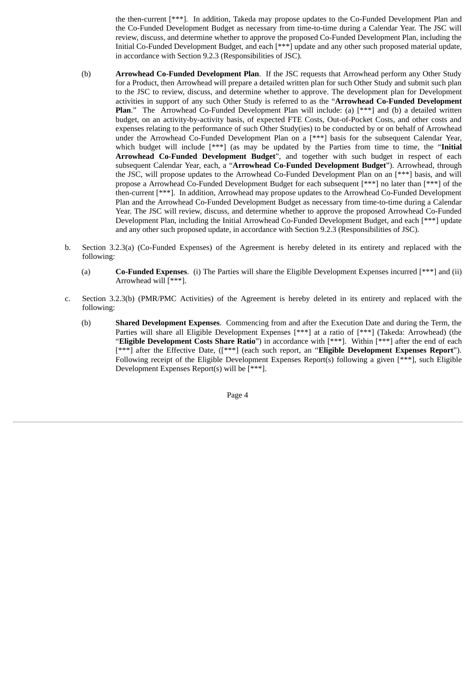the then-current [\*\*\*]. In addition, Takeda may propose updates to the Co-Funded Development Plan and the Co-Funded Development Budget as necessary from time-to-time during a Calendar Year. The JSC will review, discuss, and determine whether to approve the proposed Co-Funded Development Plan, including the Initial Co-Funded Development Budget, and each [\*\*\*] update and any other such proposed material update, in accordance with Section 9.2.3 (Responsibilities of JSC).

- (b) **Arrowhead Co-Funded Development Plan**. If the JSC requests that Arrowhead perform any Other Study for a Product, then Arrowhead will prepare a detailed written plan for such Other Study and submit such plan to the JSC to review, discuss, and determine whether to approve. The development plan for Development activities in support of any such Other Study is referred to as the "**Arrowhead Co-Funded Development Plan.**" The Arrowhead Co-Funded Development Plan will include: (a) [\*\*\*] and (b) a detailed written budget, on an activity-by-activity basis, of expected FTE Costs, Out-of-Pocket Costs, and other costs and expenses relating to the performance of such Other Study(ies) to be conducted by or on behalf of Arrowhead under the Arrowhead Co-Funded Development Plan on a [\*\*\*] basis for the subsequent Calendar Year, which budget will include [\*\*\*] (as may be updated by the Parties from time to time, the "**Initial Arrowhead Co-Funded Development Budget**", and together with such budget in respect of each subsequent Calendar Year, each, a "**Arrowhead Co-Funded Development Budget**"). Arrowhead, through the JSC, will propose updates to the Arrowhead Co-Funded Development Plan on an [\*\*\*] basis, and will propose a Arrowhead Co-Funded Development Budget for each subsequent [\*\*\*] no later than [\*\*\*] of the then-current [\*\*\*]. In addition, Arrowhead may propose updates to the Arrowhead Co-Funded Development Plan and the Arrowhead Co-Funded Development Budget as necessary from time-to-time during a Calendar Year. The JSC will review, discuss, and determine whether to approve the proposed Arrowhead Co-Funded Development Plan, including the Initial Arrowhead Co-Funded Development Budget, and each [\*\*\*] update and any other such proposed update, in accordance with Section 9.2.3 (Responsibilities of JSC).
- b. Section 3.2.3(a) (Co-Funded Expenses) of the Agreement is hereby deleted in its entirety and replaced with the following:
	- (a) **Co-Funded Expenses**. (i) The Parties will share the Eligible Development Expenses incurred [\*\*\*] and (ii) Arrowhead will [\*\*\*].
- c. Section 3.2.3(b) (PMR/PMC Activities) of the Agreement is hereby deleted in its entirety and replaced with the following:
	- (b) **Shared Development Expenses**. Commencing from and after the Execution Date and during the Term, the Parties will share all Eligible Development Expenses [\*\*\*] at a ratio of [\*\*\*] (Takeda: Arrowhead) (the "**Eligible Development Costs Share Ratio**") in accordance with [\*\*\*]. Within [\*\*\*] after the end of each [\*\*\*] after the Effective Date, ([\*\*\*] (each such report, an "**Eligible Development Expenses Report**"). Following receipt of the Eligible Development Expenses Report(s) following a given [\*\*\*], such Eligible Development Expenses Report(s) will be [\*\*\*].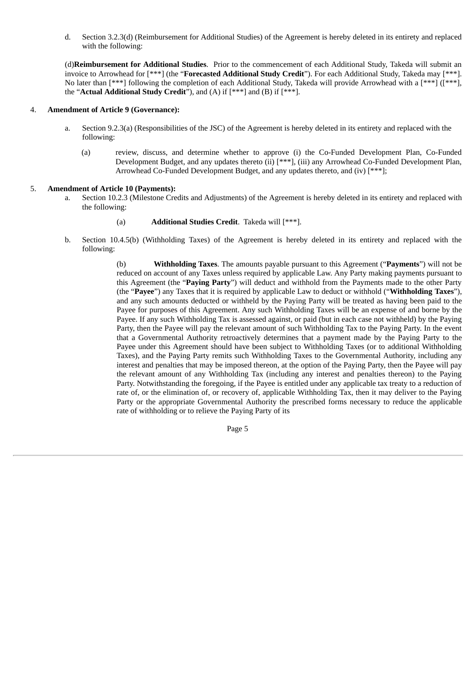d. Section 3.2.3(d) (Reimbursement for Additional Studies) of the Agreement is hereby deleted in its entirety and replaced with the following:

(d)**Reimbursement for Additional Studies**. Prior to the commencement of each Additional Study, Takeda will submit an invoice to Arrowhead for [\*\*\*] (the "**Forecasted Additional Study Credit**"). For each Additional Study, Takeda may [\*\*\*]. No later than [\*\*\*] following the completion of each Additional Study, Takeda will provide Arrowhead with a [\*\*\*] ([\*\*\*], the "**Actual Additional Study Credit**"), and (A) if [\*\*\*] and (B) if [\*\*\*].

# 4. **Amendment of Article 9 (Governance):**

- a. Section 9.2.3(a) (Responsibilities of the JSC) of the Agreement is hereby deleted in its entirety and replaced with the following:
	- (a) review, discuss, and determine whether to approve (i) the Co-Funded Development Plan, Co-Funded Development Budget, and any updates thereto (ii) [\*\*\*], (iii) any Arrowhead Co-Funded Development Plan, Arrowhead Co-Funded Development Budget, and any updates thereto, and (iv) [\*\*\*];

# 5. **Amendment of Article 10 (Payments):**

- a. Section 10.2.3 (Milestone Credits and Adjustments) of the Agreement is hereby deleted in its entirety and replaced with the following:
	- (a) **Additional Studies Credit**. Takeda will [\*\*\*].
- b. Section 10.4.5(b) (Withholding Taxes) of the Agreement is hereby deleted in its entirety and replaced with the following:

(b) **Withholding Taxes**. The amounts payable pursuant to this Agreement ("**Payments**") will not be reduced on account of any Taxes unless required by applicable Law. Any Party making payments pursuant to this Agreement (the "**Paying Party**") will deduct and withhold from the Payments made to the other Party (the "**Payee**") any Taxes that it is required by applicable Law to deduct or withhold ("**Withholding Taxes**"), and any such amounts deducted or withheld by the Paying Party will be treated as having been paid to the Payee for purposes of this Agreement. Any such Withholding Taxes will be an expense of and borne by the Payee. If any such Withholding Tax is assessed against, or paid (but in each case not withheld) by the Paying Party, then the Payee will pay the relevant amount of such Withholding Tax to the Paying Party. In the event that a Governmental Authority retroactively determines that a payment made by the Paying Party to the Payee under this Agreement should have been subject to Withholding Taxes (or to additional Withholding Taxes), and the Paying Party remits such Withholding Taxes to the Governmental Authority, including any interest and penalties that may be imposed thereon, at the option of the Paying Party, then the Payee will pay the relevant amount of any Withholding Tax (including any interest and penalties thereon) to the Paying Party. Notwithstanding the foregoing, if the Payee is entitled under any applicable tax treaty to a reduction of rate of, or the elimination of, or recovery of, applicable Withholding Tax, then it may deliver to the Paying Party or the appropriate Governmental Authority the prescribed forms necessary to reduce the applicable rate of withholding or to relieve the Paying Party of its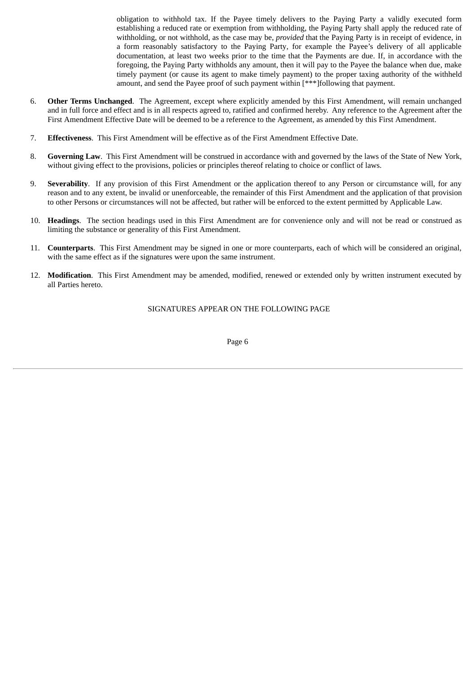obligation to withhold tax. If the Payee timely delivers to the Paying Party a validly executed form establishing a reduced rate or exemption from withholding, the Paying Party shall apply the reduced rate of withholding, or not withhold, as the case may be, *provided* that the Paying Party is in receipt of evidence, in a form reasonably satisfactory to the Paying Party, for example the Payee's delivery of all applicable documentation, at least two weeks prior to the time that the Payments are due. If, in accordance with the foregoing, the Paying Party withholds any amount, then it will pay to the Payee the balance when due, make timely payment (or cause its agent to make timely payment) to the proper taxing authority of the withheld amount, and send the Payee proof of such payment within [\*\*\*]following that payment.

- 6. **Other Terms Unchanged**. The Agreement, except where explicitly amended by this First Amendment, will remain unchanged and in full force and effect and is in all respects agreed to, ratified and confirmed hereby. Any reference to the Agreement after the First Amendment Effective Date will be deemed to be a reference to the Agreement, as amended by this First Amendment.
- 7. **Effectiveness**. This First Amendment will be effective as of the First Amendment Effective Date.
- 8. **Governing Law**. This First Amendment will be construed in accordance with and governed by the laws of the State of New York, without giving effect to the provisions, policies or principles thereof relating to choice or conflict of laws.
- 9. **Severability**. If any provision of this First Amendment or the application thereof to any Person or circumstance will, for any reason and to any extent, be invalid or unenforceable, the remainder of this First Amendment and the application of that provision to other Persons or circumstances will not be affected, but rather will be enforced to the extent permitted by Applicable Law.
- 10. **Headings**. The section headings used in this First Amendment are for convenience only and will not be read or construed as limiting the substance or generality of this First Amendment.
- 11. **Counterparts**. This First Amendment may be signed in one or more counterparts, each of which will be considered an original, with the same effect as if the signatures were upon the same instrument.
- 12. **Modification**. This First Amendment may be amended, modified, renewed or extended only by written instrument executed by all Parties hereto.

SIGNATURES APPEAR ON THE FOLLOWING PAGE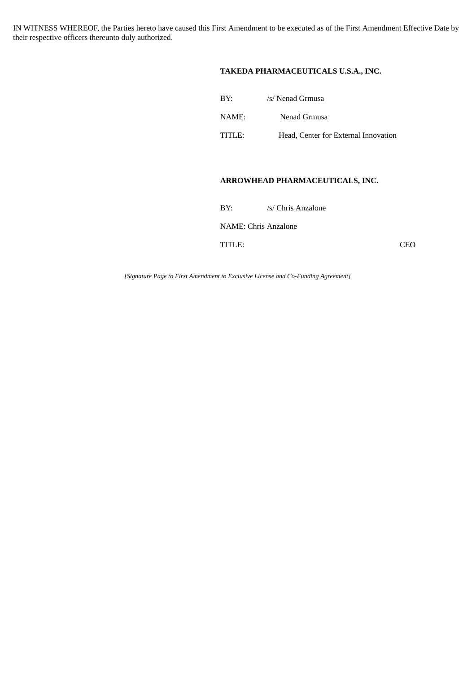IN WITNESS WHEREOF, the Parties hereto have caused this First Amendment to be executed as of the First Amendment Effective Date by their respective officers thereunto duly authorized.

# **TAKEDA PHARMACEUTICALS U.S.A., INC.**

| BY:     | /s/ Nenad Grmusa                     |
|---------|--------------------------------------|
| NAME:   | Nenad Grmusa                         |
| TITILE: | Head, Center for External Innovation |

# **ARROWHEAD PHARMACEUTICALS, INC.**

| BY:                  | /s/ Chris Anzalone |     |
|----------------------|--------------------|-----|
| NAME: Chris Anzalone |                    |     |
| TITLE:               |                    | CEO |

*[Signature Page to First Amendment to Exclusive License and Co-Funding Agreement]*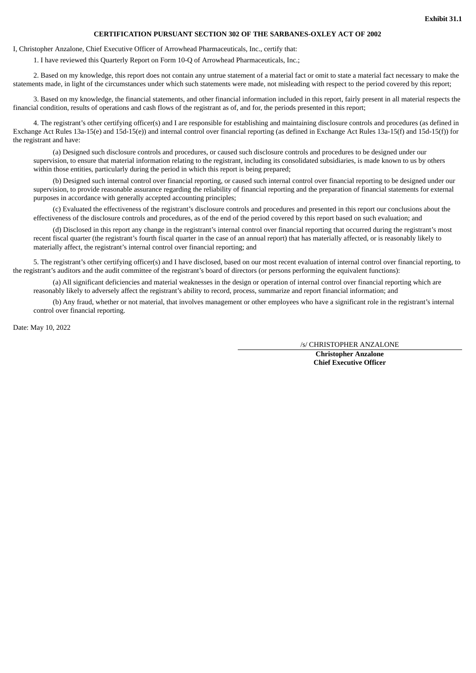### **CERTIFICATION PURSUANT SECTION 302 OF THE SARBANES-OXLEY ACT OF 2002**

<span id="page-42-0"></span>I, Christopher Anzalone, Chief Executive Officer of Arrowhead Pharmaceuticals, Inc., certify that:

1. I have reviewed this Quarterly Report on Form 10-Q of Arrowhead Pharmaceuticals, Inc.;

2. Based on my knowledge, this report does not contain any untrue statement of a material fact or omit to state a material fact necessary to make the statements made, in light of the circumstances under which such statements were made, not misleading with respect to the period covered by this report;

3. Based on my knowledge, the financial statements, and other financial information included in this report, fairly present in all material respects the financial condition, results of operations and cash flows of the registrant as of, and for, the periods presented in this report;

4. The registrant's other certifying officer(s) and I are responsible for establishing and maintaining disclosure controls and procedures (as defined in Exchange Act Rules 13a-15(e) and 15d-15(e)) and internal control over financial reporting (as defined in Exchange Act Rules 13a-15(f) and 15d-15(f)) for the registrant and have:

(a) Designed such disclosure controls and procedures, or caused such disclosure controls and procedures to be designed under our supervision, to ensure that material information relating to the registrant, including its consolidated subsidiaries, is made known to us by others within those entities, particularly during the period in which this report is being prepared;

(b) Designed such internal control over financial reporting, or caused such internal control over financial reporting to be designed under our supervision, to provide reasonable assurance regarding the reliability of financial reporting and the preparation of financial statements for external purposes in accordance with generally accepted accounting principles;

(c) Evaluated the effectiveness of the registrant's disclosure controls and procedures and presented in this report our conclusions about the effectiveness of the disclosure controls and procedures, as of the end of the period covered by this report based on such evaluation; and

(d) Disclosed in this report any change in the registrant's internal control over financial reporting that occurred during the registrant's most recent fiscal quarter (the registrant's fourth fiscal quarter in the case of an annual report) that has materially affected, or is reasonably likely to materially affect, the registrant's internal control over financial reporting; and

5. The registrant's other certifying officer(s) and I have disclosed, based on our most recent evaluation of internal control over financial reporting, to the registrant's auditors and the audit committee of the registrant's board of directors (or persons performing the equivalent functions):

(a) All significant deficiencies and material weaknesses in the design or operation of internal control over financial reporting which are reasonably likely to adversely affect the registrant's ability to record, process, summarize and report financial information; and

(b) Any fraud, whether or not material, that involves management or other employees who have a significant role in the registrant's internal control over financial reporting.

Date: May 10, 2022

/s/ CHRISTOPHER ANZALONE

**Christopher Anzalone Chief Executive Officer**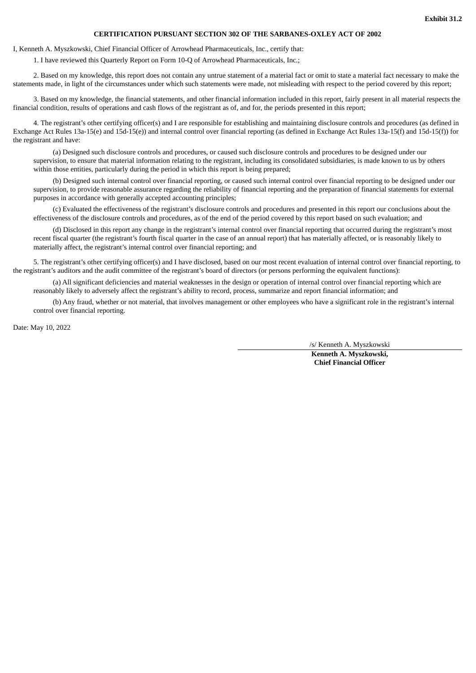### **CERTIFICATION PURSUANT SECTION 302 OF THE SARBANES-OXLEY ACT OF 2002**

<span id="page-43-0"></span>I, Kenneth A. Myszkowski, Chief Financial Officer of Arrowhead Pharmaceuticals, Inc., certify that:

1. I have reviewed this Quarterly Report on Form 10-Q of Arrowhead Pharmaceuticals, Inc.;

2. Based on my knowledge, this report does not contain any untrue statement of a material fact or omit to state a material fact necessary to make the statements made, in light of the circumstances under which such statements were made, not misleading with respect to the period covered by this report;

3. Based on my knowledge, the financial statements, and other financial information included in this report, fairly present in all material respects the financial condition, results of operations and cash flows of the registrant as of, and for, the periods presented in this report;

4. The registrant's other certifying officer(s) and I are responsible for establishing and maintaining disclosure controls and procedures (as defined in Exchange Act Rules 13a-15(e) and 15d-15(e)) and internal control over financial reporting (as defined in Exchange Act Rules 13a-15(f) and 15d-15(f)) for the registrant and have:

(a) Designed such disclosure controls and procedures, or caused such disclosure controls and procedures to be designed under our supervision, to ensure that material information relating to the registrant, including its consolidated subsidiaries, is made known to us by others within those entities, particularly during the period in which this report is being prepared;

(b) Designed such internal control over financial reporting, or caused such internal control over financial reporting to be designed under our supervision, to provide reasonable assurance regarding the reliability of financial reporting and the preparation of financial statements for external purposes in accordance with generally accepted accounting principles;

(c) Evaluated the effectiveness of the registrant's disclosure controls and procedures and presented in this report our conclusions about the effectiveness of the disclosure controls and procedures, as of the end of the period covered by this report based on such evaluation; and

(d) Disclosed in this report any change in the registrant's internal control over financial reporting that occurred during the registrant's most recent fiscal quarter (the registrant's fourth fiscal quarter in the case of an annual report) that has materially affected, or is reasonably likely to materially affect, the registrant's internal control over financial reporting; and

5. The registrant's other certifying officer(s) and I have disclosed, based on our most recent evaluation of internal control over financial reporting, to the registrant's auditors and the audit committee of the registrant's board of directors (or persons performing the equivalent functions):

(a) All significant deficiencies and material weaknesses in the design or operation of internal control over financial reporting which are reasonably likely to adversely affect the registrant's ability to record, process, summarize and report financial information; and

(b) Any fraud, whether or not material, that involves management or other employees who have a significant role in the registrant's internal control over financial reporting.

Date: May 10, 2022

/s/ Kenneth A. Myszkowski

**Kenneth A. Myszkowski, Chief Financial Officer**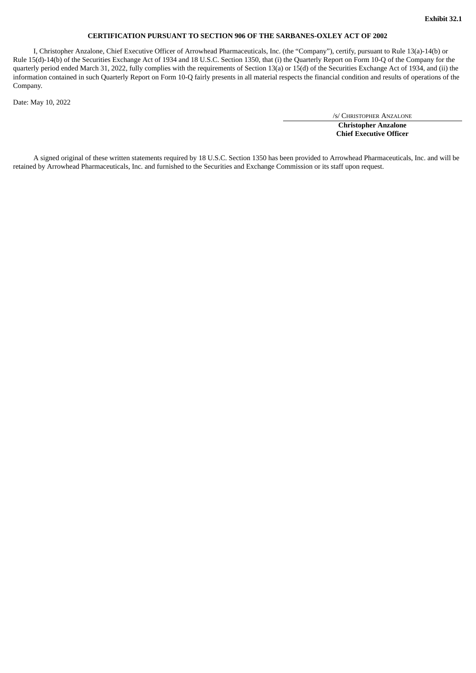### **CERTIFICATION PURSUANT TO SECTION 906 OF THE SARBANES-OXLEY ACT OF 2002**

<span id="page-44-0"></span>I, Christopher Anzalone, Chief Executive Officer of Arrowhead Pharmaceuticals, Inc. (the "Company"), certify, pursuant to Rule 13(a)-14(b) or Rule 15(d)-14(b) of the Securities Exchange Act of 1934 and 18 U.S.C. Section 1350, that (i) the Quarterly Report on Form 10-Q of the Company for the quarterly period ended March 31, 2022, fully complies with the requirements of Section 13(a) or 15(d) of the Securities Exchange Act of 1934, and (ii) the information contained in such Quarterly Report on Form 10-Q fairly presents in all material respects the financial condition and results of operations of the Company.

Date: May 10, 2022

/s/ CHRISTOPHER ANZALONE

**Christopher Anzalone Chief Executive Officer**

A signed original of these written statements required by 18 U.S.C. Section 1350 has been provided to Arrowhead Pharmaceuticals, Inc. and will be retained by Arrowhead Pharmaceuticals, Inc. and furnished to the Securities and Exchange Commission or its staff upon request.